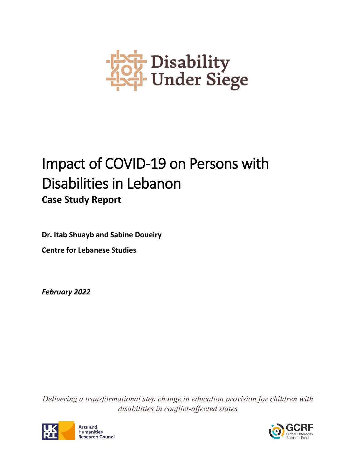

# Impact of COVID-19 on Persons with Disabilities in Lebanon **Case Study Report**

**Dr. Itab Shuayb and Sabine Doueiry Centre for Lebanese Studies**

*February 2022*

*Delivering a transformational step change in education provision for children with disabilities in conflict-affected states*



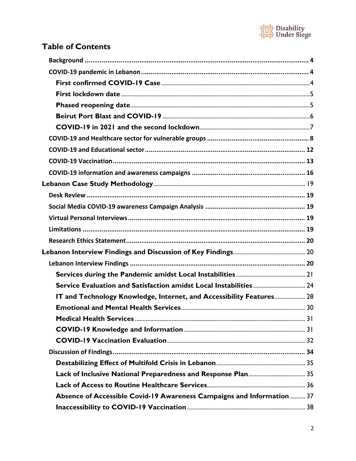

# **Table of Contents**

| IT and Technology Knowledge, Internet, and Accessibility Features 28   |  |
|------------------------------------------------------------------------|--|
|                                                                        |  |
|                                                                        |  |
|                                                                        |  |
|                                                                        |  |
|                                                                        |  |
|                                                                        |  |
|                                                                        |  |
|                                                                        |  |
| Absence of Accessible Covid-19 Awareness Campaigns and Information  37 |  |
|                                                                        |  |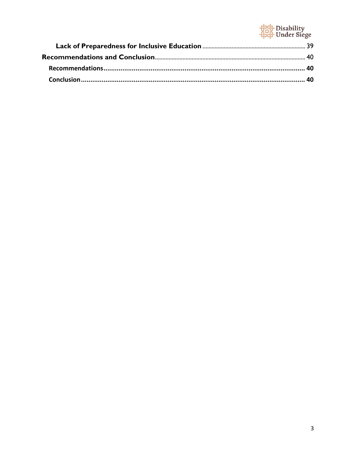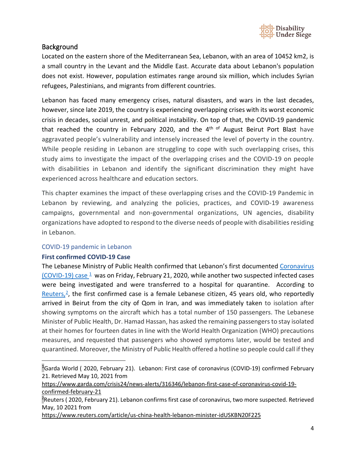

## <span id="page-3-0"></span>Background

Located on the eastern shore of the Mediterranean Sea, Lebanon, with an area of 10452 km2, is a small country in the Levant and the Middle East. Accurate data about Lebanon's population does not exist. However, population estimates range around six million, which includes Syrian refugees, Palestinians, and migrants from different countries.

Lebanon has faced many emergency crises, natural disasters, and wars in the last decades, however, since late 2019, the country is experiencing overlapping crises with its worst economic crisis in decades, social unrest, and political instability. On top of that, the COVID-19 pandemic that reached the country in February 2020, and the  $4<sup>th</sup>$  of August Beirut Port Blast have aggravated people's vulnerability and intensely increased the level of poverty in the country. While people residing in Lebanon are struggling to cope with such overlapping crises, this study aims to investigate the impact of the overlapping crises and the COVID-19 on people with disabilities in Lebanon and identify the significant discrimination they might have experienced across healthcare and education sectors.

This chapter examines the impact of these overlapping crises and the COVID-19 Pandemic in Lebanon by reviewing, and analyzing the policies, practices, and COVID-19 awareness campaigns, governmental and non-governmental organizations, UN agencies, disability organizations have adopted to respond to the diverse needs of people with disabilities residing in Lebanon.

#### <span id="page-3-1"></span>COVID-19 pandemic in Lebanon

#### <span id="page-3-2"></span>**First confirmed COVID-19 Case**

The Lebanese Ministry of Public Health confirmed that Lebanon's first documented [Coronavirus](https://www.garda.com/crisis24/news-alerts/316346/lebanon-first-case-of-coronavirus-covid-19-confirmed-february-21)  (COVID-19) case  $\frac{1}{2}$  was on Friday, February 21, 2020, while another two suspected infected cases were being investigated and were transferred to a hospital for quarantine. According to Reuters, $2$ , the first confirmed case is a female Lebanese citizen, 45 years old, who reportedly arrived in Beirut from the city of Qom in Iran, and was immediately taken to isolation after showing symptoms on the aircraft which has a total number of 150 passengers. The Lebanese Minister of Public Health, Dr. Hamad Hassan, has asked the remaining passengers to stay isolated at their homes for fourteen dates in line with the World Health Organization (WHO) precautions measures, and requested that passengers who showed symptoms later, would be tested and quarantined. Moreover, the Ministry of Public Health offered a hotline so people could call if they

<https://www.reuters.com/article/us-china-health-lebanon-minister-idUSKBN20F225>

<span id="page-3-3"></span><sup>1</sup>Garda World ( 2020, February 21). Lebanon: First case of coronavirus (COVID-19) confirmed February 21. Retrieved May 10, 2021 from

[https://www.garda.com/crisis24/news-alerts/316346/lebanon-first-case-of-coronavirus-covid-19](https://www.garda.com/crisis24/news-alerts/316346/lebanon-first-case-of-coronavirus-covid-19-confirmed-february-21) [confirmed-february-21](https://www.garda.com/crisis24/news-alerts/316346/lebanon-first-case-of-coronavirus-covid-19-confirmed-february-21)

<span id="page-3-4"></span><sup>&</sup>lt;sup>2</sup>Reuters ( 2020, February 21). Lebanon confirms first case of coronavirus, two more suspected. Retrieved May, 10 2021 from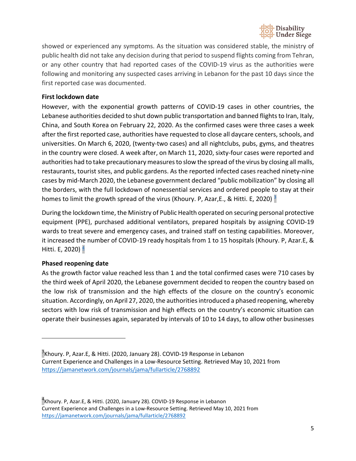

showed or experienced any symptoms. As the situation was considered stable, the ministry of public health did not take any decision during that period to suspend flights coming from Tehran, or any other country that had reported cases of the COVID-19 virus as the authorities were following and monitoring any suspected cases arriving in Lebanon for the past 10 days since the first reported case was documented.

#### <span id="page-4-0"></span>**First lockdown date**

However, with the exponential growth patterns of COVID-19 cases in other countries, the Lebanese authorities decided to shut down public transportation and banned flights to Iran, Italy, China, and South Korea on February 22, 2020. As the confirmed cases were three cases a week after the first reported case, authorities have requested to close all daycare centers, schools, and universities. On March 6, 2020, (twenty-two cases) and all nightclubs, pubs, gyms, and theatres in the country were closed. A week after, on March 11, 2020, sixty-four cases were reported and authorities had to take precautionary measures to slow the spread of the virus by closing all malls, restaurants, tourist sites, and public gardens. As the reported infected cases reached ninety-nine cases by mid-March 2020, the Lebanese government declared "public mobilization" by closing all the borders, with the full lockdown of nonessential services and ordered people to stay at their homes to limit the growth spread of the virus (Khoury. P, Azar, E., & Hitti. E, 2020)  $\frac{3}{2}$ 

During the lockdown time, the Ministry of Public Health operated on securing personal protective equipment (PPE), purchased additional ventilators, prepared hospitals by assigning COVID-19 wards to treat severe and emergency cases, and trained staff on testing capabilities. Moreover, it increased the number of COVID-19 ready hospitals from 1 to 15 hospital[s \(Khoury. P, Azar.E, &](https://jamanetwork.com/journals/jama/fullarticle/2768892)  Hitti. E, 2020) $\frac{4}{7}$ 

#### <span id="page-4-1"></span>**Phased reopening date**

As the growth factor value reached less than 1 and the total confirmed cases were 710 cases by the third week of April 2020, the Lebanese government decided to reopen the country based on the low risk of transmission and the high effects of the closure on the country's economic situation. Accordingly, on April 27, 2020, the authorities introduced a phased reopening, whereby sectors with low risk of transmission and high effects on the country's economic situation can operate their businesses again, separated by intervals of 10 to 14 days, to allow other businesses

<span id="page-4-2"></span><sup>&</sup>lt;sup>3</sup>Khoury. P, Azar.E, & Hitti. (2020, January 28). COVID-19 Response in Lebanon Current Experience and Challenges in a Low-Resource Setting. Retrieved May 10, 2021 from <https://jamanetwork.com/journals/jama/fullarticle/2768892>

<span id="page-4-3"></span><sup>&</sup>lt;sup>4</sup>Khoury. P, Azar.E, & Hitti. (2020, January 28). COVID-19 Response in Lebanon Current Experience and Challenges in a Low-Resource Setting. Retrieved May 10, 2021 from <https://jamanetwork.com/journals/jama/fullarticle/2768892>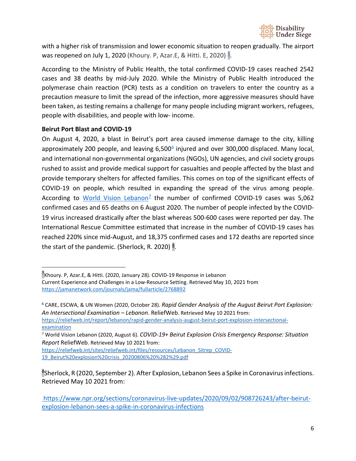

with a higher risk of transmission and lower economic situation to reopen gradually. The airport was reopened on July 1, 2020 (Khoury. P, Azar. E, & Hitti. E, 2020)  $\frac{5}{6}$ .

According to the Ministry of Public Health, the total confirmed COVID-19 cases reached 2542 cases and 38 deaths by mid-July 2020. While the Ministry of Public Health introduced the polymerase chain reaction (PCR) tests as a condition on travelers to enter the country as a precaution measure to limit the spread of the infection, more aggressive measures should have been taken, as testing remains a challenge for many people including migrant workers, refugees, people with disabilities, and people with low- income.

#### <span id="page-5-0"></span>**Beirut Port Blast and COVID-19**

On August 4, 2020, a blast in Beirut's port area caused immense damage to the city, killing approximately 200 people, and leaving  $6,500^6$  injured and over 300,000 displaced. Many local, and international non-governmental organizations (NGOs), UN agencies, and civil society groups rushed to assist and provide medical support for casualties and people affected by the blast and provide temporary shelters for affected families. This comes on top of the significant effects of COVID-19 on people, which resulted in expanding the spread of the virus among people. According to [World Vision](https://reliefweb.int/sites/reliefweb.int/files/resources/Lebanon_Sitrep_COVID-19_Beirut%20explosion%20crisis_20200806%20%282%29.pdf) Lebanon<sup>2</sup> the number of confirmed COVID-19 cases was 5,062 confirmed cases and 65 deaths on 6 August 2020. The number of people infected by the COVID-19 virus increased drastically after the blast whereas 500-600 cases were reported per day. The International Rescue Committee estimated that increase in the number of COVID-19 cases has reached 220% since mid-August, and 18,375 confirmed cases and 172 deaths are reported since the start of the pandemic. (Sherlock, R. 2020)  $\frac{8}{3}$ .

<span id="page-5-1"></span><sup>&</sup>lt;sup>5</sup>Khoury. P, Azar.E, & Hitti. (2020, January 28). COVID-19 Response in Lebanon

Current Experience and Challenges in a Low-Resource Setting. Retrieved May 10, 2021 from <https://jamanetwork.com/journals/jama/fullarticle/2768892>

<span id="page-5-2"></span><sup>6</sup> CARE, ESCWA, & UN Women (2020, October 28). *Rapid Gender Analysis of the August Beirut Port [Explosion:](https://reliefweb.int/report/lebanon/rapid-gender-analysis-august-beirut-port-explosion-intersectional-examination) An [Intersectional](https://reliefweb.int/report/lebanon/rapid-gender-analysis-august-beirut-port-explosion-intersectional-examination) Examination – Lebanon*. ReliefWeb. Retrieved May 10 2021 from:

[https://reliefweb.int/report/lebanon/rapid-gender-analysis-august-beirut-port-explosion-intersectional](https://reliefweb.int/report/lebanon/rapid-gender-analysis-august-beirut-port-explosion-intersectional-examination)[examination](https://reliefweb.int/report/lebanon/rapid-gender-analysis-august-beirut-port-explosion-intersectional-examination)

<span id="page-5-3"></span><sup>7</sup> World Vision Lebanon (2020, August 6). *COVID-19+ Beirut Explosion Crisis [Emergency](https://reliefweb.int/report/lebanon/rapid-gender-analysis-august-beirut-port-explosion-intersectional-examination) Response: Situation Report* [ReliefWeb.](https://reliefweb.int/report/lebanon/rapid-gender-analysis-august-beirut-port-explosion-intersectional-examination) Retrieved May 10 2021 from:

[https://reliefweb.int/sites/reliefweb.int/files/resources/Lebanon\\_Sitrep\\_COVID-](https://reliefweb.int/sites/reliefweb.int/files/resources/Lebanon_Sitrep_COVID-19_Beirut%20explosion%20crisis_20200806%20%282%29.pdf)[19\\_Beirut%20explosion%20crisis\\_20200806%20%282%29.pdf](https://reliefweb.int/sites/reliefweb.int/files/resources/Lebanon_Sitrep_COVID-19_Beirut%20explosion%20crisis_20200806%20%282%29.pdf)

<span id="page-5-4"></span><sup>8</sup>Sherlock, R (2020, September 2). After Explosion, Lebanon Sees a Spike in Coronavirus infections. Retrieved May 10 2021 from:

[https://www.npr.org/sections/coronavirus-live-updates/2020/09/02/908726243/after-beirut](https://www.npr.org/sections/coronavirus-live-updates/2020/09/02/908726243/after-beirut-explosion-lebanon-sees-a-spike-in-coronavirus-infections)[explosion-lebanon-sees-a-spike-in-coronavirus-infections](https://www.npr.org/sections/coronavirus-live-updates/2020/09/02/908726243/after-beirut-explosion-lebanon-sees-a-spike-in-coronavirus-infections)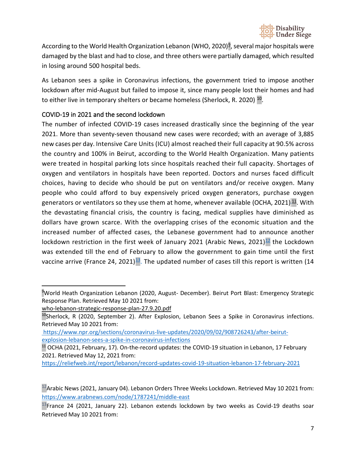

According to the World Health Organization Lebanon (WHO, 2020)<sup>9</sup>, several major hospitals were damaged by the blast and had to close, and three others were partially damaged, which resulted in losing around 500 hospital beds.

As Lebanon sees a spike in Coronavirus infections, the government tried to impose another lockdown after mid-August but failed to impose it, since many people lost their homes and had to either live in temporary shelters or became homeless (Sherlock, R. 2020)<sup>10</sup>.

#### <span id="page-6-0"></span>COVID-19 in 2021 and the second lockdown

The number of infected COVID-19 cases increased drastically since the beginning of the year 2021. More than seventy-seven thousand new cases were recorded; with an average of 3,885 new cases per day. Intensive Care Units (ICU) almost reached their full capacity at 90.5% across the country and 100% in Beirut, according to the World Health Organization. Many patients were treated in hospital parking lots since hospitals reached their full capacity. Shortages of oxygen and ventilators in hospitals have been reported. Doctors and nurses faced difficult choices, having to decide who should be put on ventilators and/or receive oxygen. Many people who could afford to buy expensively priced oxygen generators, purchase oxygen generators or ventilators so they use them at home, whenever available (OCHA, 2021) $\frac{11}{2}$ . With the devastating financial crisis, the country is facing, medical supplies have diminished as dollars have grown scarce. With the overlapping crises of the economic situation and the increased number of affected cases, the Lebanese government had to announce another lockdown restriction in the first week of January 2021 (Arabic News, 2021) $\frac{12}{12}$  the Lockdown was extended till the end of February to allow the government to gain time until the first vaccine arrive (France 24, 2021)<sup>13</sup>. The updated number of cases till this report is written (14

<span id="page-6-1"></span><sup>9</sup> World Heath Organization Lebanon (2020, August- December). Beirut Port Blast: Emergency Strategic Response Plan. Retrieved May 10 2021 from:

[who-lebanon-strategic-response-plan-27.9.20.pdf](http://www.emro.who.int/images/stories/lebanon/who-lebanon-strategic-response-plan-27.9.20.pdf?ua=1)

<span id="page-6-2"></span><sup>&</sup>lt;sup>10</sup>Sherlock, R (2020, September 2). After Explosion, Lebanon Sees a Spike in Coronavirus infections. Retrieved May 10 2021 from:

[https://www.npr.org/sections/coronavirus-live-updates/2020/09/02/908726243/after-beirut](https://www.npr.org/sections/coronavirus-live-updates/2020/09/02/908726243/after-beirut-explosion-lebanon-sees-a-spike-in-coronavirus-infections)[explosion-lebanon-sees-a-spike-in-coronavirus-infections](https://www.npr.org/sections/coronavirus-live-updates/2020/09/02/908726243/after-beirut-explosion-lebanon-sees-a-spike-in-coronavirus-infections)

<span id="page-6-3"></span><sup>&</sup>lt;sup>11</sup> OCHA (2021, February, 17). On-the-record updates: the COVID-19 situation in Lebanon, 17 February 2021. Retrieved May 12, 2021 from:

<https://reliefweb.int/report/lebanon/record-updates-covid-19-situation-lebanon-17-february-2021>

<span id="page-6-4"></span> $^{12}$ Arabic News (2021, January 04). Lebanon Orders Three Weeks Lockdown. Retrieved May 10 2021 from: <https://www.arabnews.com/node/1787241/middle-east>

<span id="page-6-5"></span> $^{13}$ France 24 (2021, January 22). Lebanon extends lockdown by two weeks as Covid-19 deaths soar Retrieved May 10 2021 from: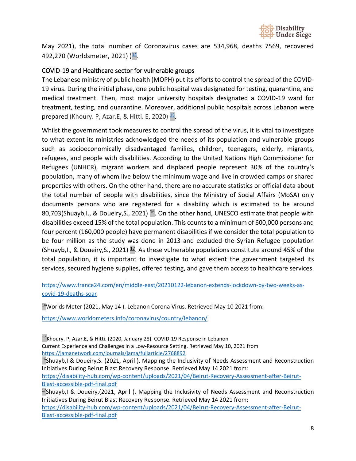

May 2021), the total number of Coronavirus cases are 534,968, deaths 7569, recovered 492,270 (Worldsmeter, 2021) )<sup>14</sup>.

#### <span id="page-7-0"></span>COVID-19 and Healthcare sector for vulnerable groups

The Lebanese ministry of public health (MOPH) put its efforts to control the spread of the COVID-19 virus. During the initial phase, one public hospital was designated for testing, quarantine, and medical treatment. Then, most major university hospitals designated a COVID-19 ward for treatment, testing, and quarantine. Moreover, additional public hospitals across Lebanon were prepared (Khoury. P, Azar.E, & Hitti. E, 2020)  $\frac{15}{1}$ .

Whilst the government took measures to control the spread of the virus, it is vital to investigate to what extent its ministries acknowledged the needs of its population and vulnerable groups such as socioeconomically disadvantaged families, children, teenagers, elderly, migrants, refugees, and people with disabilities. According to the United Nations High Commissioner for Refugees (UNHCR), migrant workers and displaced people represent 30% of the country's population, many of whom live below the minimum wage and live in crowded camps or shared properties with others. On the other hand, there are no accurate statistics or official data about the total number of people with disabilities, since the Ministry of Social Affairs (MoSA) only documents persons who are registered for a disability which is estimated to be around 80,703(Shuayb, I., & Doueiry, S., 2021)<sup>16</sup>. On the other hand, UNESCO estimate that people with disabilities exceed 15% of the total population. This counts to a minimum of 600,000 persons and four percent (160,000 people) have permanent disabilities if we consider the total population to be four million as the study was done in 2013 and excluded the Syrian Refugee population (Shuayb, I., & Doueiry, S., 2021)  $\frac{17}{2}$ . As these vulnerable populations constitute around 45% of the total population, it is important to investigate to what extent the government targeted its services, secured hygiene supplies, offered testing, and gave them access to healthcare services.

[https://www.france24.com/en/middle-east/20210122-lebanon-extends-lockdown-by-two-weeks-as](https://www.france24.com/en/middle-east/20210122-lebanon-extends-lockdown-by-two-weeks-as-covid-19-deaths-soar)[covid-19-deaths-soar](https://www.france24.com/en/middle-east/20210122-lebanon-extends-lockdown-by-two-weeks-as-covid-19-deaths-soar)

<span id="page-7-1"></span><sup>14</sup>Worlds Meter (2021, May 14). Lebanon Corona Virus. Retrieved May 10 2021 from:

<https://www.worldometers.info/coronavirus/country/lebanon/>

<span id="page-7-2"></span><sup>15</sup>Khoury. P, Azar.E, & Hitti. (2020, January 28). COVID-19 Response in Lebanon Current Experience and Challenges in a Low-Resource Setting. Retrieved May 10, 2021 from <https://jamanetwork.com/journals/jama/fullarticle/2768892>

<span id="page-7-3"></span><sup>16</sup>Shuayb,I & Doueiry, S. (2021, April). Mapping the Inclusivity of Needs Assessment and Reconstruction Initiatives During Beirut Blast Recovery Response. Retrieved May 14 2021 from: [https://disability-hub.com/wp-content/uploads/2021/04/Beirut-Recovery-Assessment-after-Beirut-](https://disability-hub.com/wp-content/uploads/2021/04/Beirut-Recovery-Assessment-after-Beirut-Blast-accessible-pdf-final.pdf)[Blast-accessible-pdf-final.pdf](https://disability-hub.com/wp-content/uploads/2021/04/Beirut-Recovery-Assessment-after-Beirut-Blast-accessible-pdf-final.pdf)

<span id="page-7-4"></span><sup>17</sup>Shuayb,I & Doueiry, (2021, April). Mapping the Inclusivity of Needs Assessment and Reconstruction Initiatives During Beirut Blast Recovery Response. Retrieved May 14 2021 from: [https://disability-hub.com/wp-content/uploads/2021/04/Beirut-Recovery-Assessment-after-Beirut-](https://disability-hub.com/wp-content/uploads/2021/04/Beirut-Recovery-Assessment-after-Beirut-Blast-accessible-pdf-final.pdf)[Blast-accessible-pdf-final.pdf](https://disability-hub.com/wp-content/uploads/2021/04/Beirut-Recovery-Assessment-after-Beirut-Blast-accessible-pdf-final.pdf)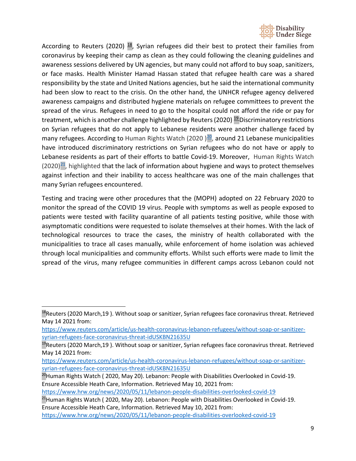

According to Reuters (2020)  $18$ , Syrian refugees did their best to protect their families from coronavirus by keeping their camp as clean as they could following the cleaning guidelines and awareness sessions delivered by UN agencies, but many could not afford to buy soap, sanitizers, or face masks. Health Minister Hamad Hassan stated that refugee health care was a shared responsibility by the state and United Nations agencies, but he said the international community had been slow to react to the crisis. On the other hand, the UNHCR refugee agency delivered awareness campaigns and distributed hygiene materials on refugee committees to prevent the spread of the virus. Refugees in need to go to the hospital could not afford the ride or pay for treatment, which is another challenge highlighted by Reuters (2020)  $^{19}$  Discriminatory restrictions on Syrian refugees that do not apply to Lebanese residents were another challenge faced by many refugees. According to Human Rights Watch (2020)<sup>20</sup>, around 21 Lebanese municipalities have introduced discriminatory restrictions on Syrian refugees who do not have or apply to Lebanese residents as part of their efforts to battle Covid-19. Moreover, Human Rights Watch  $(2020)^{21}$ , highlighted that the lack of information about hygiene and ways to protect themselves against infection and their inability to access healthcare was one of the main challenges that many Syrian refugees encountered.

Testing and tracing were other procedures that the (MOPH) adopted on 22 February 2020 to monitor the spread of the COVID 19 virus. People with symptoms as well as people exposed to patients were tested with facility quarantine of all patients testing positive, while those with asymptomatic conditions were requested to isolate themselves at their homes. With the lack of technological resources to trace the cases, the ministry of health collaborated with the municipalities to trace all cases manually, while enforcement of home isolation was achieved through local municipalities and community efforts. Whilst such efforts were made to limit the spread of the virus, many refugee communities in different camps across Lebanon could not

<span id="page-8-0"></span><sup>&</sup>lt;sup>18</sup>Reuters (2020 March,19). Without soap or sanitizer, Syrian refugees face coronavirus threat. Retrieved May 14 2021 from:

[https://www.reuters.com/article/us-health-coronavirus-lebanon-refugees/without-soap-or-sanitizer](https://www.reuters.com/article/us-health-coronavirus-lebanon-refugees/without-soap-or-sanitizer-syrian-refugees-face-coronavirus-threat-idUSKBN21635U)[syrian-refugees-face-coronavirus-threat-idUSKBN21635U](https://www.reuters.com/article/us-health-coronavirus-lebanon-refugees/without-soap-or-sanitizer-syrian-refugees-face-coronavirus-threat-idUSKBN21635U)

<span id="page-8-1"></span><sup>&</sup>lt;sup>19</sup>Reuters (2020 March,19). Without soap or sanitizer, Syrian refugees face coronavirus threat. Retrieved May 14 2021 from:

[https://www.reuters.com/article/us-health-coronavirus-lebanon-refugees/without-soap-or-sanitizer](https://www.reuters.com/article/us-health-coronavirus-lebanon-refugees/without-soap-or-sanitizer-syrian-refugees-face-coronavirus-threat-idUSKBN21635U)[syrian-refugees-face-coronavirus-threat-idUSKBN21635U](https://www.reuters.com/article/us-health-coronavirus-lebanon-refugees/without-soap-or-sanitizer-syrian-refugees-face-coronavirus-threat-idUSKBN21635U)

<span id="page-8-2"></span><sup>&</sup>lt;sup>20</sup>Human Rights Watch (2020, May 20). Lebanon: People with Disabilities Overlooked in Covid-19. Ensure Accessible Heath Care, Information. Retrieved May 10, 2021 from:

<https://www.hrw.org/news/2020/05/11/lebanon-people-disabilities-overlooked-covid-19>

<span id="page-8-3"></span><sup>&</sup>lt;sup>21</sup>Human Rights Watch (2020, May 20). Lebanon: People with Disabilities Overlooked in Covid-19. Ensure Accessible Heath Care, Information. Retrieved May 10, 2021 from:

<https://www.hrw.org/news/2020/05/11/lebanon-people-disabilities-overlooked-covid-19>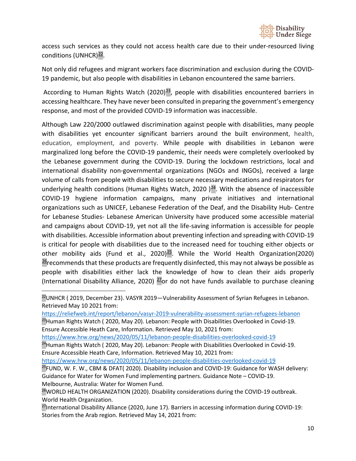

access such services as they could not access health care due to their under-resourced living conditions (UNHCR) $^{22}$ .

Not only did refugees and migrant workers face discrimination and exclusion during the COVID-19 pandemic, but also people with disabilities in Lebanon encountered the same barriers.

According to Human Rights Watch (2020)<sup>23</sup>, people with disabilities encountered barriers in accessing healthcare. They have never been consulted in preparing the government's emergency response, and most of the provided COVID-19 information was inaccessible.

Although Law 220/2000 outlawed discrimination against people with disabilities, many people with disabilities yet encounter significant barriers around the built environment, health, education, employment, and poverty. While people with disabilities in Lebanon were marginalized long before the COVID-19 pandemic, their needs were completely overlooked by the Lebanese government during the COVID-19. During the lockdown restrictions, local and international disability non-governmental organizations (NGOs and INGOs), received a large volume of calls from people with disabilities to secure necessary medications and respirators for underlying health conditions (Human Rights Watch, 2020)<sup>24</sup>. With the absence of inaccessible COVID-19 hygiene information campaigns, many private initiatives and international organizations such as UNICEF, Lebanese Federation of the Deaf, and the Disability Hub- Centre for Lebanese Studies- Lebanese American University have produced some accessible material and campaigns about COVID-19, yet not all the life-saving information is accessible for people with disabilities. Accessible information about preventing infection and spreading with COVID-19 is critical for people with disabilities due to the increased need for touching either objects or other mobility aids (Fund et al., 2020) $^{25}$ . While the World Health Organization(2020)  $26$  recommends that these products are frequently disinfected, this may not always be possible as people with disabilities either lack the knowledge of how to clean their aids properly (International Disability Alliance, 2020)  $\frac{27}{10}$  do not have funds available to purchase cleaning

<https://reliefweb.int/report/lebanon/vasyr-2019-vulnerability-assessment-syrian-refugees-lebanon>

<span id="page-9-1"></span> $^{23}$ Human Rights Watch (2020, May 20). Lebanon: People with Disabilities Overlooked in Covid-19. Ensure Accessible Heath Care, Information. Retrieved May 10, 2021 from:

<https://www.hrw.org/news/2020/05/11/lebanon-people-disabilities-overlooked-covid-19>

<span id="page-9-2"></span><sup>24</sup>Human Rights Watch (2020, May 20). Lebanon: People with Disabilities Overlooked in Covid-19. Ensure Accessible Heath Care, Information. Retrieved May 10, 2021 from:

<https://www.hrw.org/news/2020/05/11/lebanon-people-disabilities-overlooked-covid-19>

<span id="page-9-3"></span><sup>25</sup>FUND, W. F. W., CBM & DFAT( 2020). Disability inclusion and COVID-19: Guidance for WASH delivery: Guidance for Water for Women Fund implementing partners. Guidance Note – COVID-19. Melbourne, Australia: Water for Women Fund.

<span id="page-9-0"></span> $22$ UNHCR (2019, December 23). VASYR 2019-Vulnerability Assessment of Syrian Refugees in Lebanon. Retrieved May 10 2021 from:

<span id="page-9-4"></span><sup>&</sup>lt;sup>26</sup>WORLD HEALTH ORGANIZATION (2020). Disability considerations during the COVID-19 outbreak. World Health Organization.

<span id="page-9-5"></span><sup>&</sup>lt;sup>27</sup>International Disability Alliance (2020, June 17). Barriers in accessing information during COVID-19: Stories from the Arab region. Retrieved May 14, 2021 from: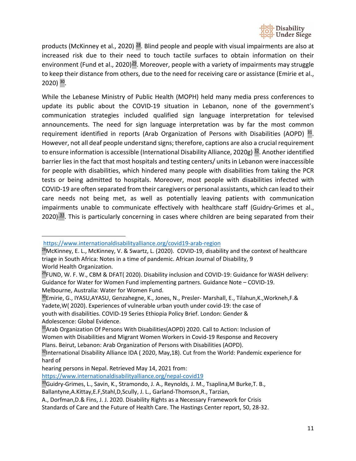

products (McKinney et al., 2020)  $28$ . Blind people and people with visual impairments are also at increased risk due to their need to touch tactile surfaces to obtain information on their environment (Fund et al., 2020)<sup>29</sup>. Moreover, people with a variety of impairments may struggle to keep their distance from others, due to the need for receiving care or assistance (Emirie et al., 2020) [30](#page-10-2).

While the Lebanese Ministry of Public Health (MOPH) held many media press conferences to update its public about the COVID-19 situation in Lebanon, none of the government's communication strategies included qualified sign language interpretation for televised announcements. The need for sign language interpretation was by far the most common requirement identified in reports (Arab Organization of Persons with Disabilities (AOPD)  $^{31}$  $^{31}$  $^{31}$ . However, not all deaf people understand signs; therefore, captions are also a crucial requirement to ensure information is accessible (International Disability Alliance, 2020g)  $\frac{32}{2}$ . Another identified barrier lies in the fact that most hospitals and testing centers/ units in Lebanon were inaccessible for people with disabilities, which hindered many people with disabilities from taking the PCR tests or being admitted to hospitals. Moreover, most people with disabilities infected with COVID-19 are often separated from their caregivers or personal assistants, which can lead to their care needs not being met, as well as potentially leaving patients with communication impairments unable to communicate effectively with healthcare staff (Guidry-Grimes et al., 2020)<sup>[33](#page-10-5)</sup>. This is particularly concerning in cases where children are being separated from their

<https://www.internationaldisabilityalliance.org/covid19-arab-region>

<span id="page-10-0"></span><sup>&</sup>lt;sup>28</sup>McKinney, E. L., McKinney, V. & Swartz, L. (2020). COVID-19, disability and the context of healthcare triage in South Africa: Notes in a time of pandemic. African Journal of Disability, 9 World Health Organization.

<span id="page-10-1"></span><sup>&</sup>lt;sup>29</sup>FUND, W. F. W., CBM & DFAT( 2020). Disability inclusion and COVID-19: Guidance for WASH delivery: Guidance for Water for Women Fund implementing partners. Guidance Note – COVID-19. Melbourne, Australia: Water for Women Fund.

<span id="page-10-2"></span><sup>30</sup>Emirie, G., IYASU,AYASU, Genzahegne, K., Jones, N., Presler- Marshall, E., Tilahun,K.,Workneh,F.& Yadete,W( 2020). Experiences of vulnerable urban youth under covid-19: the case of youth with disabilities. COVID-19 Series Ethiopia Policy Brief. London: Gender & Adolescence: Global Evidence.

<span id="page-10-3"></span><sup>&</sup>lt;sup>31</sup>Arab Organization Of Persons With Disabilities(AOPD) 2020. Call to Action: Inclusion of Women with Disabilities and Migrant Women Workers in Covid-19 Response and Recovery Plans. Beirut, Lebanon: Arab Organization of Persons with Disabilities (AOPD).

<span id="page-10-4"></span><sup>&</sup>lt;sup>32</sup>International Disability Alliance IDA (2020, May,18). Cut from the World: Pandemic experience for hard of

hearing persons in Nepal. Retrieved May 14, 2021 from:

<https://www.internationaldisabilityalliance.org/nepal-covid19>

<span id="page-10-5"></span><sup>33</sup>Guidry-Grimes, L., Savin, K., Stramondo, J. A., Reynolds, J. M., Tsaplina, M Burke, T. B.,

Ballantyne,A.Kittay,E.F,Stahl,D,Scully, J. L., Garland-Thomson,R., Tarzian,

A., Dorfman,D.& Fins, J. J. 2020. Disability Rights as a Necessary Framework for Crisis

Standards of Care and the Future of Health Care. The Hastings Center report, 50, 28-32.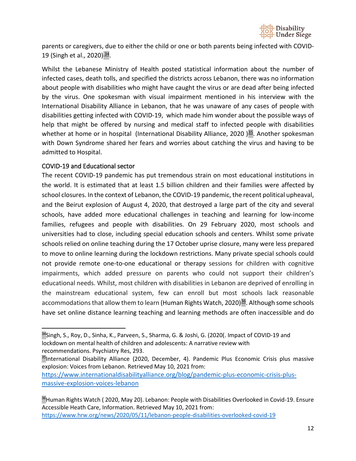

parents or caregivers, due to either the child or one or both parents being infected with COVID-19 (Singh et al., 2020)<sup>[34](#page-11-1)</sup>.

Whilst the Lebanese Ministry of Health posted statistical information about the number of infected cases, death tolls, and specified the districts across Lebanon, there was no information about people with disabilities who might have caught the virus or are dead after being infected by the virus. One spokesman with visual impairment mentioned in his interview with the International Disability Alliance in Lebanon, that he was unaware of any cases of people with disabilities getting infected with COVID-19, which made him wonder about the possible ways of help that might be offered by nursing and medical staff to infected people with disabilities whether at home or in hospital (International Disability Alliance, 2020)<sup>35</sup>. Another spokesman with Down Syndrome shared her fears and worries about catching the virus and having to be admitted to Hospital.

#### <span id="page-11-0"></span>COVID-19 and Educational sector

The recent COVID-19 pandemic has put tremendous strain on most educational institutions in the world. It is estimated that at least 1.5 billion children and their families were affected by school closures. In the context of Lebanon, the COVID-19 pandemic, the recent political upheaval, and the Beirut explosion of August 4, 2020, that destroyed a large part of the city and several schools, have added more educational challenges in teaching and learning for low-income families, refugees and people with disabilities. On 29 February 2020, most schools and universities had to close, including special education schools and centers. Whilst some private schools relied on online teaching during the 17 October uprise closure, many were less prepared to move to online learning during the lockdown restrictions. Many private special schools could not provide remote one-to-one educational or therapy sessions for children with cognitive impairments, which added pressure on parents who could not support their children's educational needs. Whilst, most children with disabilities in Lebanon are deprived of enrolling in the mainstream educational system, few can enroll but most schools lack reasonable accommodations that allow them to learn (Human Rights Watch, 2020)<sup>36</sup>. Although some schools have set online distance learning teaching and learning methods are often inaccessible and do

<span id="page-11-1"></span><sup>34</sup>Singh, S., Roy, D., Sinha, K., Parveen, S., Sharma, G. & Joshi, G. (2020(. Impact of COVID-19 and lockdown on mental health of children and adolescents: A narrative review with recommendations. Psychiatry Res, 293.

<span id="page-11-2"></span><sup>&</sup>lt;sup>35</sup>International Disability Alliance (2020, December, 4). Pandemic Plus Economic Crisis plus massive explosion: Voices from Lebanon. Retrieved May 10, 2021 from:

[https://www.internationaldisabilityalliance.org/blog/pandemic-plus-economic-crisis-plus](https://www.internationaldisabilityalliance.org/blog/pandemic-plus-economic-crisis-plus-massive-explosion-voices-lebanon)[massive-explosion-voices-lebanon](https://www.internationaldisabilityalliance.org/blog/pandemic-plus-economic-crisis-plus-massive-explosion-voices-lebanon)

<span id="page-11-3"></span><sup>&</sup>lt;sup>36</sup>Human Rights Watch (2020, May 20). Lebanon: People with Disabilities Overlooked in Covid-19. Ensure Accessible Heath Care, Information. Retrieved May 10, 2021 from: <https://www.hrw.org/news/2020/05/11/lebanon-people-disabilities-overlooked-covid-19>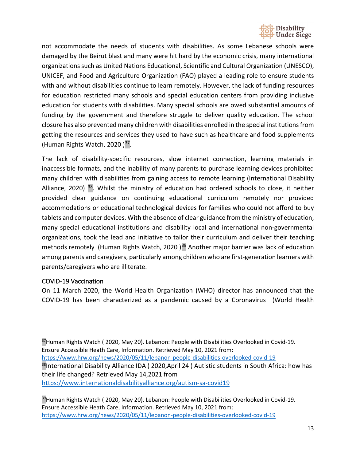

not accommodate the needs of students with disabilities. As some Lebanese schools were damaged by the Beirut blast and many were hit hard by the economic crisis, many international organizations such as United Nations Educational, Scientific and Cultural Organization (UNESCO), UNICEF, and Food and Agriculture Organization (FAO) played a leading role to ensure students with and without disabilities continue to learn remotely. However, the lack of funding resources for education restricted many schools and special education centers from providing inclusive education for students with disabilities. Many special schools are owed substantial amounts of funding by the government and therefore struggle to deliver quality education. The school closure has also prevented many children with disabilities enrolled in the special institutions from getting the resources and services they used to have such as healthcare and food supplements (Human Rights Watch, 2020) $37$ .

The lack of disability-specific resources, slow internet connection, learning materials in inaccessible formats, and the inability of many parents to purchase learning devices prohibited many children with disabilities from gaining access to remote learning (International Disability Alliance, 2020)  $^{38}$ . Whilst the ministry of education had ordered schools to close, it neither provided clear guidance on continuing educational curriculum remotely nor provided accommodations or educational technological devices for families who could not afford to buy tablets and computer devices. With the absence of clear guidance from the ministry of education, many special educational institutions and disability local and international non-governmental organizations, took the lead and initiative to tailor their curriculum and deliver their teaching methods remotely (Human Rights Watch, 2020)<sup>39</sup> Another major barrier was lack of education among parents and caregivers, particularly among children who are first-generation learners with parents/caregivers who are illiterate.

#### <span id="page-12-0"></span>COVID-19 Vaccination

On 11 March 2020, the World Health Organization (WHO) director has announced that the COVID-19 has been characterized as a pandemic caused by a Coronavirus (World Health

<span id="page-12-2"></span><span id="page-12-1"></span><sup>37</sup>Human Rights Watch (2020, May 20). Lebanon: People with Disabilities Overlooked in Covid-19. Ensure Accessible Heath Care, Information. Retrieved May 10, 2021 from: <https://www.hrw.org/news/2020/05/11/lebanon-people-disabilities-overlooked-covid-19> <sup>38</sup>International Disability Alliance IDA (2020, April 24) Autistic students in South Africa: how has their life changed? Retrieved May 14,2021 from <https://www.internationaldisabilityalliance.org/autism-sa-covid19>

<span id="page-12-3"></span><sup>39</sup>Human Rights Watch ( 2020, May 20). Lebanon: People with Disabilities Overlooked in Covid-19. Ensure Accessible Heath Care, Information. Retrieved May 10, 2021 from: <https://www.hrw.org/news/2020/05/11/lebanon-people-disabilities-overlooked-covid-19>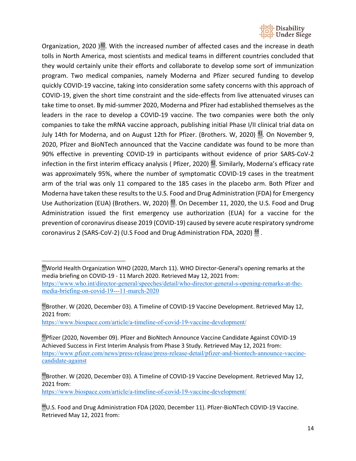

Organization, 2020  $\frac{40}{3}$ . With the increased number of affected cases and the increase in death tolls in North America, most scientists and medical teams in different countries concluded that they would certainly unite their efforts and collaborate to develop some sort of immunization program. Two medical companies, namely Moderna and Pfizer secured funding to develop quickly COVID-19 vaccine, taking into consideration some safety concerns with this approach of COVID-19, given the short time constraint and the side-effects from live attenuated viruses can take time to onset. By mid-summer 2020, Moderna and Pfizer had established themselves as the leaders in the race to develop a COVID-19 vaccine. The two companies were both the only companies to take the mRNA vaccine approach, publishing initial Phase I/II clinical trial data on July 14th for Moderna, and on August 12th for Pfizer. (Brothers. W, 2020)  $41$ . On November 9, 2020, Pfizer and BioNTech announced that the Vaccine candidate was found to be more than 90% effective in preventing COVID-19 in participants without evidence of prior SARS-CoV-2 infection in the first interim efficacy analysis (Pfizer, 2020)  $42$ . Similarly, Moderna's efficacy rate was approximately 95%, where the number of symptomatic COVID-19 cases in the treatment arm of the trial was only 11 compared to the 185 cases in the placebo arm. Both Pfizer and Moderna have taken these results to the U.S. Food and Drug Administration (FDA) for Emergency Use Authorization (EUA) (Brothers. W, 2020) <sup>43</sup>. On December 11, 2020, the U.S. Food and Drug Administration issued the first emergency use authorization (EUA) for a vaccine for the prevention of coronavirus disease 2019 (COVID-19) caused by severe acute respiratory syndrome coronavirus 2 (SARS-CoV-2) (U.S Food and Drug Administration FDA, 2020)  $44$ .

<https://www.biospace.com/article/a-timeline-of-covid-19-vaccine-development/>

<https://www.biospace.com/article/a-timeline-of-covid-19-vaccine-development/>

<span id="page-13-0"></span><sup>&</sup>lt;sup>40</sup>World Health Organization WHO (2020, March 11). WHO Director-General's opening remarks at the media briefing on COVID-19 - 11 March 2020. Retrieved May 12, 2021 from: [https://www.who.int/director-general/speeches/detail/who-director-general-s-opening-remarks-at-the](https://www.who.int/director-general/speeches/detail/who-director-general-s-opening-remarks-at-the-media-briefing-on-covid-19---11-march-2020)[media-briefing-on-covid-19---11-march-2020](https://www.who.int/director-general/speeches/detail/who-director-general-s-opening-remarks-at-the-media-briefing-on-covid-19---11-march-2020)

<span id="page-13-1"></span><sup>41</sup>Brother. W (2020, December 03). A Timeline of COVID-19 Vaccine Development. Retrieved May 12, 2021 from:

<span id="page-13-2"></span><sup>&</sup>lt;sup>42</sup>Pfizer (2020, November 09). Pfizer and BioNtech Announce Vaccine Candidate Against COVID-19 Achieved Success in First Interim Analysis from Phase 3 Study. Retrieved May 12, 2021 from: [https://www.pfizer.com/news/press-release/press-release-detail/pfizer-and-biontech-announce-vaccine](https://www.pfizer.com/news/press-release/press-release-detail/pfizer-and-biontech-announce-vaccine-candidate-against)[candidate-against](https://www.pfizer.com/news/press-release/press-release-detail/pfizer-and-biontech-announce-vaccine-candidate-against)

<span id="page-13-3"></span><sup>&</sup>lt;sup>43</sup>Brother. W (2020, December 03). A Timeline of COVID-19 Vaccine Development. Retrieved May 12, 2021 from:

<span id="page-13-4"></span><sup>44</sup>U.S. Food and Drug Administration FDA (2020, December 11). Pfizer-BioNTech COVID-19 Vaccine. Retrieved May 12, 2021 from: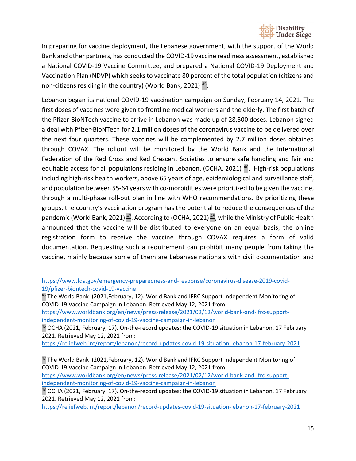

In preparing for vaccine deployment, the Lebanese government, with the support of the World Bank and other partners, has conducted the COVID-19 vaccine readiness assessment, established a National COVID-19 Vaccine Committee, and prepared a National COVID-19 Deployment and Vaccination Plan (NDVP) which seeks to vaccinate 80 percent of the total population (citizens and non-citizens residing in the country) (World Bank, 2021)  $45$ .

Lebanon began its national COVID-19 vaccination campaign on Sunday, February 14, 2021. The first doses of vaccines were given to frontline medical workers and the elderly. The first batch of the Pfizer-BioNTech vaccine to arrive in Lebanon was made up of 28,500 doses. Lebanon signed a deal with Pfizer-BioNTech for 2.1 million doses of the coronavirus vaccine to be delivered over the next four quarters. These vaccines will be complemented by 2.7 million doses obtained through COVAX. The rollout will be monitored by the World Bank and the International Federation of the Red Cross and Red Crescent Societies to ensure safe handling and fair and equitable access for all populations residing in Lebanon. (OCHA, 2021)<sup>46</sup>. High-risk populations including high-risk health workers, above 65 years of age, epidemiological and surveillance staff, and population between 55-64 years with co-morbidities were prioritized to be given the vaccine, through a multi-phase roll-out plan in line with WHO recommendations. By prioritizing these groups, the country's vaccination program has the potential to reduce the consequences of the pandemic (World Bank, 2021)<sup>47</sup>. According to (OCHA, 2021)<sup>48</sup>, while the Ministry of Public Health announced that the vaccine will be distributed to everyone on an equal basis, the online registration form to receive the vaccine through COVAX requires a form of valid documentation. Requesting such a requirement can prohibit many people from taking the vaccine, mainly because some of them are Lebanese nationals with civil documentation and

[https://www.worldbank.org/en/news/press-release/2021/02/12/world-bank-and-ifrc-support](https://www.worldbank.org/en/news/press-release/2021/02/12/world-bank-and-ifrc-support-independent-monitoring-of-covid-19-vaccine-campaign-in-lebanon)[independent-monitoring-of-covid-19-vaccine-campaign-in-lebanon](https://www.worldbank.org/en/news/press-release/2021/02/12/world-bank-and-ifrc-support-independent-monitoring-of-covid-19-vaccine-campaign-in-lebanon)

[https://www.fda.gov/emergency-preparedness-and-response/coronavirus-disease-2019-covid-](https://www.fda.gov/emergency-preparedness-and-response/coronavirus-disease-2019-covid-19/pfizer-biontech-covid-19-vaccine)[19/pfizer-biontech-covid-19-vaccine](https://www.fda.gov/emergency-preparedness-and-response/coronavirus-disease-2019-covid-19/pfizer-biontech-covid-19-vaccine)

<span id="page-14-0"></span><sup>45</sup> The World Bank (2021,February, 12). World Bank and IFRC Support Independent Monitoring of COVID-19 Vaccine Campaign in Lebanon. Retrieved May 12, 2021 from:

[https://www.worldbank.org/en/news/press-release/2021/02/12/world-bank-and-ifrc-support](https://www.worldbank.org/en/news/press-release/2021/02/12/world-bank-and-ifrc-support-independent-monitoring-of-covid-19-vaccine-campaign-in-lebanon)[independent-monitoring-of-covid-19-vaccine-campaign-in-lebanon](https://www.worldbank.org/en/news/press-release/2021/02/12/world-bank-and-ifrc-support-independent-monitoring-of-covid-19-vaccine-campaign-in-lebanon)

<span id="page-14-1"></span><sup>46</sup> OCHA (2021, February, 17). On-the-record updates: the COVID-19 situation in Lebanon, 17 February 2021. Retrieved May 12, 2021 from:

<https://reliefweb.int/report/lebanon/record-updates-covid-19-situation-lebanon-17-february-2021>

<span id="page-14-2"></span> $47$  The World Bank (2021, February, 12). World Bank and IFRC Support Independent Monitoring of COVID-19 Vaccine Campaign in Lebanon. Retrieved May 12, 2021 from:

<span id="page-14-3"></span> $48$  OCHA (2021, February, 17). On-the-record updates: the COVID-19 situation in Lebanon, 17 February 2021. Retrieved May 12, 2021 from:

<https://reliefweb.int/report/lebanon/record-updates-covid-19-situation-lebanon-17-february-2021>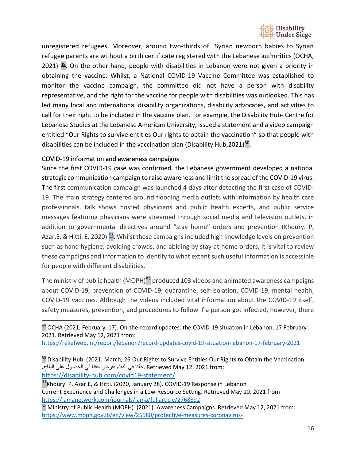

unregistered refugees. Moreover, around two-thirds of Syrian newborn babies to Syrian refugee parents are without a birth certificate registered with the Lebanese authorities (OCHA, 2021)  $49$ . On the other hand, people with disabilities in Lebanon were not given a priority in obtaining the vaccine. Whilst, a National COVID-19 Vaccine Committee was established to monitor the vaccine campaign, the committee did not have a person with disability representative, and the right for the vaccine for people with disabilities was outlooked. This has led many local and international disability organizations, disability advocates, and activities to call for their right to be included in the vaccine plan. For example, the Disability Hub- Centre for Lebanese Studies at the Lebanese American University, issued a statement and a video campaign entitled "Our Rights to survive entitles Our rights to obtain the vaccination" so that people with disabilities can be included in the vaccination plan (Disability Hub,  $2021$ )<sup>50</sup>.

#### <span id="page-15-0"></span>COVID-19 information and awareness campaigns

Since the first COVID-19 case was confirmed, the Lebanese government developed a national strategic communication campaign to raise awareness and limit the spread of the COVID-19 virus. The first communication campaign was launched 4 days after detecting the first case of COVID-19. The main strategy centered around flooding media outlets with information by health care professionals, talk shows hosted physicians and public health experts, and public service messages featuring physicians were streamed through social media and television outlets, in addition to governmental directives around "stay home" orders and prevention (Khoury. P, Azar, E, & Hitti. E, 2020)  $\frac{51}{2}$ . Whilst these campaigns included high knowledge levels on prevention such as hand hygiene, avoiding crowds, and abiding by stay-at-home orders, it is vital to review these campaigns and information to identify to what extent such useful information is accessible for people with different disabilities.

The ministry of public health (MOPH) $52$  produced 103 videos and animated awareness campaigns about COVID-19, prevention of COVID-19, quarantine, self-isolation, COVID-19, mental health, COVID-19 vaccines. Although the videos included vital information about the COVID-19 itself, safety measures, prevention, and procedures to follow if a person got infected, however, there

<https://reliefweb.int/report/lebanon/record-updates-covid-19-situation-lebanon-17-february-2021>

<https://disability-hub.com/covid19-statement/>

<span id="page-15-3"></span><sup>51</sup>Khoury. P, Azar.E, & Hitti. (2020, January 28). COVID-19 Response in Lebanon Current Experience and Challenges in a Low-Resource Setting. Retrieved May 10, 2021 from <https://jamanetwork.com/journals/jama/fullarticle/2768892>

<span id="page-15-4"></span><sup>52</sup> Ministry of Public Health (MOPH) (2021) Awareness Campaigns. Retrieved May 12, 2021 from: <https://www.moph.gov.lb/en/view/25580/protective-measures-coronavirus->

<span id="page-15-1"></span> $49$  OCHA (2021, February, 17). On-the-record updates: the COVID-19 situation in Lebanon, 17 February 2021. Retrieved May 12, 2021 from:

<span id="page-15-2"></span><sup>&</sup>lt;sup>50</sup> Disability Hub (2021, March, 26 Our Rights to Survive Entitles Our Rights to Obtain the Vaccination :from 2021 12, May Retrieved .حقنا في البقاء یفرض حقنا في الحصول على اللقاح.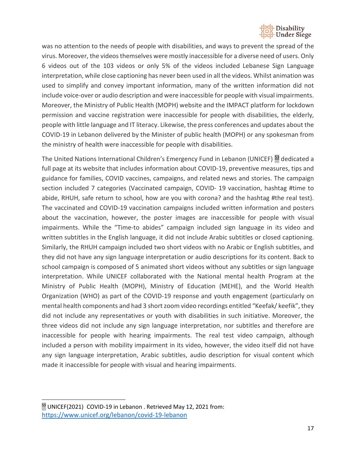

was no attention to the needs of people with disabilities, and ways to prevent the spread of the virus. Moreover, the videos themselves were mostly inaccessible for a diverse need of users. Only 6 videos out of the 103 videos or only 5% of the videos included Lebanese Sign Language interpretation, while close captioning has never been used in all the videos. Whilst animation was used to simplify and convey important information, many of the written information did not include voice-over or audio description and were inaccessible for people with visual impairments. Moreover, the Ministry of Public Health (MOPH) website and the IMPACT platform for lockdown permission and vaccine registration were inaccessible for people with disabilities, the elderly, people with little language and IT literacy. Likewise, the press conferences and updates about the COVID-19 in Lebanon delivered by the Minister of public health (MOPH) or any spokesman from the ministry of health were inaccessible for people with disabilities.

The United Nations International Children's Emergency Fund in Lebanon (UNICEF) <sup>[53](https://www.unicef.org/lebanon/covid-19-lebanon)</sup> dedicated a full page at its website that includes information about COVID-19, preventive measures, tips and guidance for families, COVID vaccines, campaigns, and related news and stories. The campaign section included 7 categories (Vaccinated campaign, COVID- 19 vaccination, hashtag #time to abide, RHUH, safe return to school, how are you with corona? and the hashtag #the real test). The vaccinated and COVID-19 vaccination campaigns included written information and posters about the vaccination, however, the poster images are inaccessible for people with visual impairments. While the "Time-to abides" campaign included sign language in its video and written subtitles in the English language, it did not include Arabic subtitles or closed captioning. Similarly, the RHUH campaign included two short videos with no Arabic or English subtitles, and they did not have any sign language interpretation or audio descriptions for its content. Back to school campaign is composed of 5 animated short videos without any subtitles or sign language interpretation. While UNICEF collaborated with the National mental health Program at the Ministry of Public Health (MOPH), Ministry of Education (MEHE), and the World Health Organization (WHO) as part of the COVID-19 response and youth engagement (particularly on mental health components and had 3 short zoom video recordings entitled "Keefak/ keefik", they did not include any representatives or youth with disabilities in such initiative. Moreover, the three videos did not include any sign language interpretation, nor subtitles and therefore are inaccessible for people with hearing impairments. The real test video campaign, although included a person with mobility impairment in its video, however, the video itself did not have any sign language interpretation, Arabic subtitles, audio description for visual content which made it inaccessible for people with visual and hearing impairments.

<span id="page-16-0"></span><sup>&</sup>lt;sup>53</sup> UNICEF(2021) COVID-19 in Lebanon . Retrieved May 12, 2021 from: <https://www.unicef.org/lebanon/covid-19-lebanon>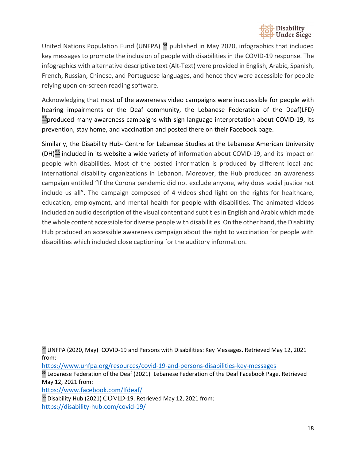

United Nations Population Fund (UNFPA)  $\frac{54}{3}$  $\frac{54}{3}$  $\frac{54}{3}$  published in May 2020, infographics that included key messages to promote the inclusion of people with disabilities in the COVID-19 response. The infographics with alternative descriptive text (Alt-Text) were provided in English, Arabic, Spanish, French, Russian, Chinese, and Portuguese languages, and hence they were accessible for people relying upon on-screen reading software.

Acknowledging that most of the awareness video campaigns were inaccessible for people with hearing impairments or the Deaf community, the Lebanese Federation of the Deaf(LFD) [55p](https://www.facebook.com/lfdeaf/)roduced many awareness campaigns with sign language interpretation about COVID-19, its prevention, stay home, and vaccination and posted there on their Facebook page.

Similarly, the Disability Hub- Centre for Lebanese Studies at the Lebanese American University (DH)<sup>56</sup> included in its website a wide variety of information about COVID-19, and its impact on people with disabilities. Most of the posted information is produced by different local and international disability organizations in Lebanon. Moreover, the Hub produced an awareness campaign entitled "If the Corona pandemic did not exclude anyone, why does social justice not include us all". The campaign composed of 4 videos shed light on the rights for healthcare, education, employment, and mental health for people with disabilities. The animated videos included an audio description of the visual content and subtitles in English and Arabic which made the whole content accessible for diverse people with disabilities. On the other hand, the Disability Hub produced an accessible awareness campaign about the right to vaccination for people with disabilities which included close captioning for the auditory information.

<https://www.facebook.com/lfdeaf/>

<span id="page-17-2"></span><sup>56</sup> Disability Hub (2021) COVID-19. Retrieved May 12, 2021 from: <https://disability-hub.com/covid-19/>

<span id="page-17-0"></span><sup>&</sup>lt;sup>54</sup> UNFPA (2020, May) COVID-19 and Persons with Disabilities: Key Messages. Retrieved May 12, 2021 from:

<https://www.unfpa.org/resources/covid-19-and-persons-disabilities-key-messages>

<span id="page-17-1"></span><sup>&</sup>lt;sup>55</sup> Lebanese Federation of the Deaf (2021) Lebanese Federation of the Deaf Facebook Page. Retrieved May 12, 2021 from: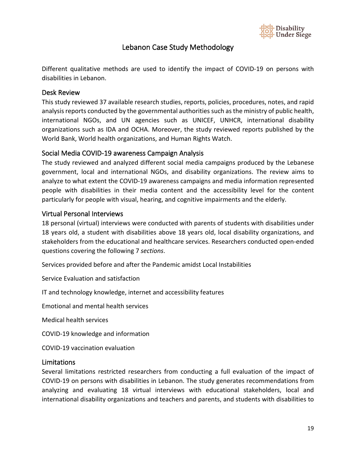

## Lebanon Case Study Methodology

<span id="page-18-0"></span>Different qualitative methods are used to identify the impact of COVID-19 on persons with disabilities in Lebanon.

#### <span id="page-18-1"></span>Desk Review

This study reviewed 37 available research studies, reports, policies, procedures, notes, and rapid analysis reports conducted by the governmental authorities such as the ministry of public health, international NGOs, and UN agencies such as UNICEF, UNHCR, international disability organizations such as IDA and OCHA. Moreover, the study reviewed reports published by the World Bank, World health organizations, and Human Rights Watch.

#### <span id="page-18-2"></span>Social Media COVID-19 awareness Campaign Analysis

The study reviewed and analyzed different social media campaigns produced by the Lebanese government, local and international NGOs, and disability organizations. The review aims to analyze to what extent the COVID-19 awareness campaigns and media information represented people with disabilities in their media content and the accessibility level for the content particularly for people with visual, hearing, and cognitive impairments and the elderly.

#### <span id="page-18-3"></span>Virtual Personal Interviews

18 personal (virtual) interviews were conducted with parents of students with disabilities under 18 years old, a student with disabilities above 18 years old, local disability organizations, and stakeholders from the educational and healthcare services. Researchers conducted open-ended questions covering the following 7 *sections*.

Services provided before and after the Pandemic amidst Local Instabilities

Service Evaluation and satisfaction

IT and technology knowledge, internet and accessibility features

Emotional and mental health services

Medical health services

COVID-19 knowledge and information

COVID-19 vaccination evaluation

#### <span id="page-18-4"></span>Limitations

Several limitations restricted researchers from conducting a full evaluation of the impact of COVID-19 on persons with disabilities in Lebanon. The study generates recommendations from analyzing and evaluating 18 virtual interviews with educational stakeholders, local and international disability organizations and teachers and parents, and students with disabilities to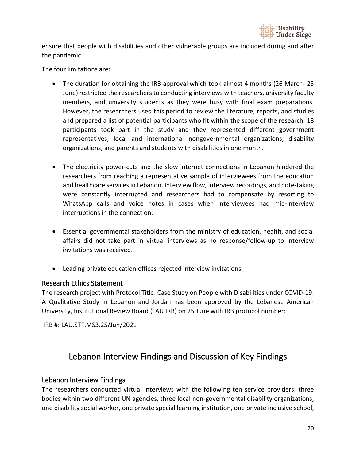

ensure that people with disabilities and other vulnerable groups are included during and after the pandemic.

The four limitations are:

- The duration for obtaining the IRB approval which took almost 4 months (26 March- 25 June) restricted the researchers to conducting interviews with teachers, university faculty members, and university students as they were busy with final exam preparations. However, the researchers used this period to review the literature, reports, and studies and prepared a list of potential participants who fit within the scope of the research. 18 participants took part in the study and they represented different government representatives, local and international nongovernmental organizations, disability organizations, and parents and students with disabilities in one month.
- The electricity power-cuts and the slow internet connections in Lebanon hindered the researchers from reaching a representative sample of interviewees from the education and healthcare services in Lebanon. Interview flow, interview recordings, and note-taking were constantly interrupted and researchers had to compensate by resorting to WhatsApp calls and voice notes in cases when interviewees had mid-interview interruptions in the connection.
- Essential governmental stakeholders from the ministry of education, health, and social affairs did not take part in virtual interviews as no response/follow-up to interview invitations was received.
- Leading private education offices rejected interview invitations.

#### <span id="page-19-0"></span>Research Ethics Statement

The research project with Protocol Title: Case Study on People with Disabilities under COVID-19: A Qualitative Study in Lebanon and Jordan has been approved by the Lebanese American University, Institutional Review Board (LAU IRB) on 25 June with IRB protocol number:

<span id="page-19-1"></span>IRB #: LAU.STF.MS3.25/Jun/2021

## Lebanon Interview Findings and Discussion of Key Findings

#### <span id="page-19-2"></span>Lebanon Interview Findings

The researchers conducted virtual interviews with the following ten service providers: three bodies within two different UN agencies, three local non-governmental disability organizations, one disability social worker, one private special learning institution, one private inclusive school,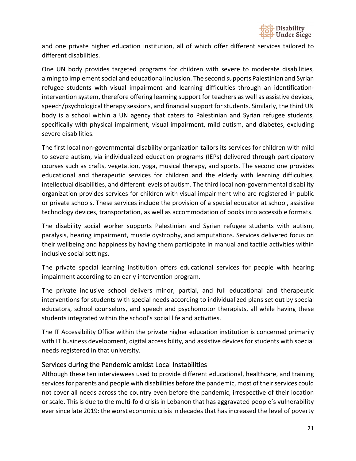

and one private higher education institution, all of which offer different services tailored to different disabilities.

One UN body provides targeted programs for children with severe to moderate disabilities, aiming to implement social and educational inclusion. The second supports Palestinian and Syrian refugee students with visual impairment and learning difficulties through an identificationintervention system, therefore offering learning support for teachers as well as assistive devices, speech/psychological therapy sessions, and financial support for students. Similarly, the third UN body is a school within a UN agency that caters to Palestinian and Syrian refugee students, specifically with physical impairment, visual impairment, mild autism, and diabetes, excluding severe disabilities.

The first local non-governmental disability organization tailors its services for children with mild to severe autism, via individualized education programs (IEPs) delivered through participatory courses such as crafts, vegetation, yoga, musical therapy, and sports. The second one provides educational and therapeutic services for children and the elderly with learning difficulties, intellectual disabilities, and different levels of autism. The third local non-governmental disability organization provides services for children with visual impairment who are registered in public or private schools. These services include the provision of a special educator at school, assistive technology devices, transportation, as well as accommodation of books into accessible formats.

The disability social worker supports Palestinian and Syrian refugee students with autism, paralysis, hearing impairment, muscle dystrophy, and amputations. Services delivered focus on their wellbeing and happiness by having them participate in manual and tactile activities within inclusive social settings.

The private special learning institution offers educational services for people with hearing impairment according to an early intervention program.

The private inclusive school delivers minor, partial, and full educational and therapeutic interventions for students with special needs according to individualized plans set out by special educators, school counselors, and speech and psychomotor therapists, all while having these students integrated within the school's social life and activities.

The IT Accessibility Office within the private higher education institution is concerned primarily with IT business development, digital accessibility, and assistive devices for students with special needs registered in that university.

#### <span id="page-20-0"></span>Services during the Pandemic amidst Local Instabilities

Although these ten interviewees used to provide different educational, healthcare, and training services for parents and people with disabilities before the pandemic, most of their services could not cover all needs across the country even before the pandemic, irrespective of their location or scale. This is due to the multi-fold crisis in Lebanon that has aggravated people's vulnerability ever since late 2019: the worst economic crisis in decades that has increased the level of poverty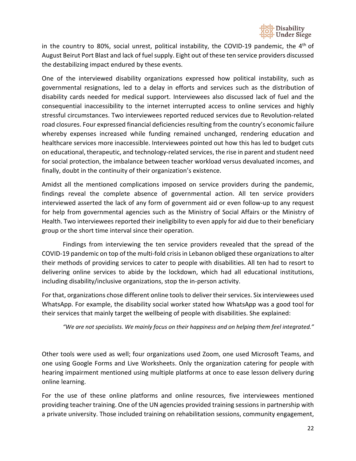

in the country to 80%, social unrest, political instability, the COVID-19 pandemic, the  $4<sup>th</sup>$  of August Beirut Port Blast and lack of fuel supply. Eight out of these ten service providers discussed the destabilizing impact endured by these events.

One of the interviewed disability organizations expressed how political instability, such as governmental resignations, led to a delay in efforts and services such as the distribution of disability cards needed for medical support. Interviewees also discussed lack of fuel and the consequential inaccessibility to the internet interrupted access to online services and highly stressful circumstances. Two interviewees reported reduced services due to Revolution-related road closures. Four expressed financial deficiencies resulting from the country's economic failure whereby expenses increased while funding remained unchanged, rendering education and healthcare services more inaccessible. Interviewees pointed out how this has led to budget cuts on educational, therapeutic, and technology-related services, the rise in parent and student need for social protection, the imbalance between teacher workload versus devaluated incomes, and finally, doubt in the continuity of their organization's existence.

Amidst all the mentioned complications imposed on service providers during the pandemic, findings reveal the complete absence of governmental action. All ten service providers interviewed asserted the lack of any form of government aid or even follow-up to any request for help from governmental agencies such as the Ministry of Social Affairs or the Ministry of Health. Two interviewees reported their ineligibility to even apply for aid due to their beneficiary group or the short time interval since their operation.

Findings from interviewing the ten service providers revealed that the spread of the COVID-19 pandemic on top of the multi-fold crisis in Lebanon obliged these organizations to alter their methods of providing services to cater to people with disabilities. All ten had to resort to delivering online services to abide by the lockdown, which had all educational institutions, including disability/inclusive organizations, stop the in-person activity.

For that, organizations chose different online tools to deliver their services. Six interviewees used WhatsApp. For example, the disability social worker stated how WhatsApp was a good tool for their services that mainly target the wellbeing of people with disabilities. She explained:

*"We are not specialists. We mainly focus on their happiness and on helping them feel integrated."* 

Other tools were used as well; four organizations used Zoom, one used Microsoft Teams, and one using Google Forms and Live Worksheets. Only the organization catering for people with hearing impairment mentioned using multiple platforms at once to ease lesson delivery during online learning.

For the use of these online platforms and online resources, five interviewees mentioned providing teacher training. One of the UN agencies provided training sessions in partnership with a private university. Those included training on rehabilitation sessions, community engagement,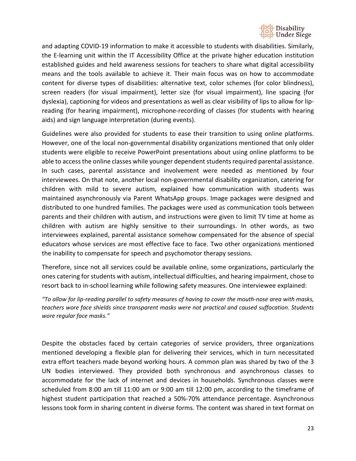

and adapting COVID-19 information to make it accessible to students with disabilities. Similarly, the E-learning unit within the IT Accessibility Office at the private higher education institution established guides and held awareness sessions for teachers to share what digital accessibility means and the tools available to achieve it. Their main focus was on how to accommodate content for diverse types of disabilities: alternative text, color schemes (for color blindness), screen readers (for visual impairment), letter size (for visual impairment), line spacing (for dyslexia), captioning for videos and presentations as well as clear visibility of lips to allow for lipreading (for hearing impairment), microphone-recording of classes (for students with hearing aids) and sign language interpretation (during events).

Guidelines were also provided for students to ease their transition to using online platforms. However, one of the local non-governmental disability organizations mentioned that only older students were eligible to receive PowerPoint presentations about using online platforms to be able to access the online classes while younger dependent students required parental assistance. In such cases, parental assistance and involvement were needed as mentioned by four interviewees. On that note, another local non-governmental disability organization, catering for children with mild to severe autism, explained how communication with students was maintained asynchronously via Parent WhatsApp groups. Image packages were designed and distributed to one hundred families. The packages were used as communication tools between parents and their children with autism, and instructions were given to limit TV time at home as children with autism are highly sensitive to their surroundings. In other words, as two interviewees explained, parental assistance somehow compensated for the absence of special educators whose services are most effective face to face. Two other organizations mentioned the inability to compensate for speech and psychomotor therapy sessions.

Therefore, since not all services could be available online, some organizations, particularly the ones catering for students with autism, intellectual difficulties, and hearing impairment, chose to resort back to in-school learning while following safety measures. One interviewee explained:

*"To allow for lip-reading parallel to safety measures of having to cover the mouth-nose area with masks, teachers wore face shields since transparent masks were not practical and caused suffocation. Students wore regular face masks."*

Despite the obstacles faced by certain categories of service providers, three organizations mentioned developing a flexible plan for delivering their services, which in turn necessitated extra effort teachers made beyond working hours. A common plan was shared by two of the 3 UN bodies interviewed. They provided both synchronous and asynchronous classes to accommodate for the lack of internet and devices in households. Synchronous classes were scheduled from 8:00 am till 11:00 am or 9:00 am till 12:00 pm, according to the timeframe of highest student participation that reached a 50%-70% attendance percentage. Asynchronous lessons took form in sharing content in diverse forms. The content was shared in text format on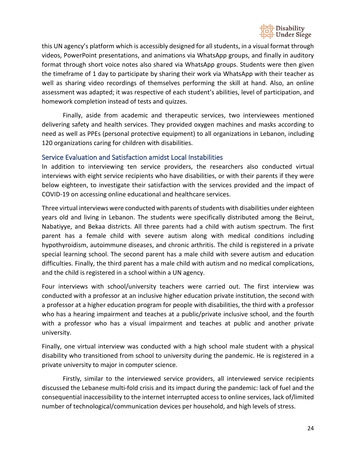

this UN agency's platform which is accessibly designed for all students, in a visual format through videos, PowerPoint presentations, and animations via WhatsApp groups, and finally in auditory format through short voice notes also shared via WhatsApp groups. Students were then given the timeframe of 1 day to participate by sharing their work via WhatsApp with their teacher as well as sharing video recordings of themselves performing the skill at hand. Also, an online assessment was adapted; it was respective of each student's abilities, level of participation, and homework completion instead of tests and quizzes.

Finally, aside from academic and therapeutic services, two interviewees mentioned delivering safety and health services. They provided oxygen machines and masks according to need as well as PPEs (personal protective equipment) to all organizations in Lebanon, including 120 organizations caring for children with disabilities.

#### <span id="page-23-0"></span>Service Evaluation and Satisfaction amidst Local Instabilities

In addition to interviewing ten service providers, the researchers also conducted virtual interviews with eight service recipients who have disabilities, or with their parents if they were below eighteen, to investigate their satisfaction with the services provided and the impact of COVID-19 on accessing online educational and healthcare services.

Three virtual interviews were conducted with parents of students with disabilities under eighteen years old and living in Lebanon. The students were specifically distributed among the Beirut, Nabatiyye, and Bekaa districts. All three parents had a child with autism spectrum. The first parent has a female child with severe autism along with medical conditions including hypothyroidism, autoimmune diseases, and chronic arthritis. The child is registered in a private special learning school. The second parent has a male child with severe autism and education difficulties. Finally, the third parent has a male child with autism and no medical complications, and the child is registered in a school within a UN agency.

Four interviews with school/university teachers were carried out. The first interview was conducted with a professor at an inclusive higher education private institution, the second with a professor at a higher education program for people with disabilities, the third with a professor who has a hearing impairment and teaches at a public/private inclusive school, and the fourth with a professor who has a visual impairment and teaches at public and another private university.

Finally, one virtual interview was conducted with a high school male student with a physical disability who transitioned from school to university during the pandemic. He is registered in a private university to major in computer science.

Firstly, similar to the interviewed service providers, all interviewed service recipients discussed the Lebanese multi-fold crisis and its impact during the pandemic: lack of fuel and the consequential inaccessibility to the internet interrupted access to online services, lack of/limited number of technological/communication devices per household, and high levels of stress.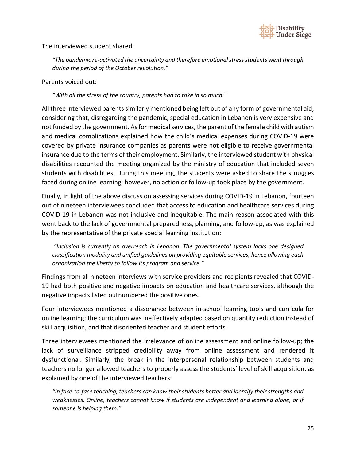

The interviewed student shared:

*"The pandemic re-activated the uncertainty and therefore emotional stress students went through during the period of the October revolution."*

Parents voiced out:

*"With all the stress of the country, parents had to take in so much."*

All three interviewed parents similarly mentioned being left out of any form of governmental aid, considering that, disregarding the pandemic, special education in Lebanon is very expensive and not funded by the government. As for medical services, the parent of the female child with autism and medical complications explained how the child's medical expenses during COVID-19 were covered by private insurance companies as parents were not eligible to receive governmental insurance due to the terms of their employment. Similarly, the interviewed student with physical disabilities recounted the meeting organized by the ministry of education that included seven students with disabilities. During this meeting, the students were asked to share the struggles faced during online learning; however, no action or follow-up took place by the government.

Finally, in light of the above discussion assessing services during COVID-19 in Lebanon, fourteen out of nineteen interviewees concluded that access to education and healthcare services during COVID-19 in Lebanon was not inclusive and inequitable. The main reason associated with this went back to the lack of governmental preparedness, planning, and follow-up, as was explained by the representative of the private special learning institution:

*"Inclusion is currently an overreach in Lebanon. The governmental system lacks one designed classification modality and unified guidelines on providing equitable services, hence allowing each organization the liberty to follow its program and service."*

Findings from all nineteen interviews with service providers and recipients revealed that COVID-19 had both positive and negative impacts on education and healthcare services, although the negative impacts listed outnumbered the positive ones.

Four interviewees mentioned a dissonance between in-school learning tools and curricula for online learning; the curriculum was ineffectively adapted based on quantity reduction instead of skill acquisition, and that disoriented teacher and student efforts.

Three interviewees mentioned the irrelevance of online assessment and online follow-up; the lack of surveillance stripped credibility away from online assessment and rendered it dysfunctional. Similarly, the break in the interpersonal relationship between students and teachers no longer allowed teachers to properly assess the students' level of skill acquisition, as explained by one of the interviewed teachers:

*"In face-to-face teaching, teachers can know their students better and identify their strengths and weaknesses. Online, teachers cannot know if students are independent and learning alone, or if someone is helping them."*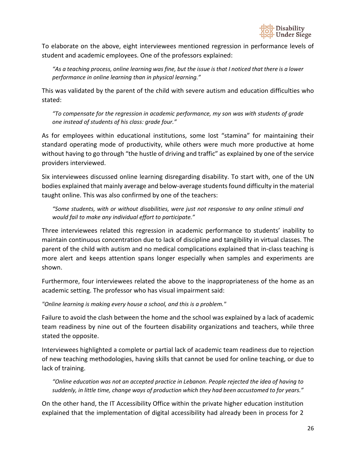

To elaborate on the above, eight interviewees mentioned regression in performance levels of student and academic employees. One of the professors explained:

*"As a teaching process, online learning was fine, but the issue is that I noticed that there is a lower performance in online learning than in physical learning."*

This was validated by the parent of the child with severe autism and education difficulties who stated:

*"To compensate for the regression in academic performance, my son was with students of grade one instead of students of his class: grade four."*

As for employees within educational institutions, some lost "stamina" for maintaining their standard operating mode of productivity, while others were much more productive at home without having to go through "the hustle of driving and traffic" as explained by one of the service providers interviewed.

Six interviewees discussed online learning disregarding disability. To start with, one of the UN bodies explained that mainly average and below-average students found difficulty in the material taught online. This was also confirmed by one of the teachers:

*"Some students, with or without disabilities, were just not responsive to any online stimuli and would fail to make any individual effort to participate."*

Three interviewees related this regression in academic performance to students' inability to maintain continuous concentration due to lack of discipline and tangibility in virtual classes. The parent of the child with autism and no medical complications explained that in-class teaching is more alert and keeps attention spans longer especially when samples and experiments are shown.

Furthermore, four interviewees related the above to the inappropriateness of the home as an academic setting. The professor who has visual impairment said:

*"Online learning is making every house a school, and this is a problem."*

Failure to avoid the clash between the home and the school was explained by a lack of academic team readiness by nine out of the fourteen disability organizations and teachers, while three stated the opposite.

Interviewees highlighted a complete or partial lack of academic team readiness due to rejection of new teaching methodologies, having skills that cannot be used for online teaching, or due to lack of training.

*"Online education was not an accepted practice in Lebanon. People rejected the idea of having to suddenly, in little time, change ways of production which they had been accustomed to for years."* 

On the other hand, the IT Accessibility Office within the private higher education institution explained that the implementation of digital accessibility had already been in process for 2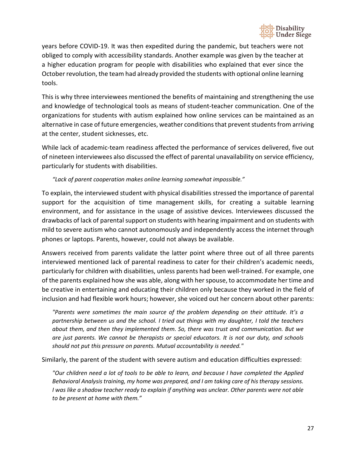

years before COVID-19. It was then expedited during the pandemic, but teachers were not obliged to comply with accessibility standards. Another example was given by the teacher at a higher education program for people with disabilities who explained that ever since the October revolution, the team had already provided the students with optional online learning tools.

This is why three interviewees mentioned the benefits of maintaining and strengthening the use and knowledge of technological tools as means of student-teacher communication. One of the organizations for students with autism explained how online services can be maintained as an alternative in case of future emergencies, weather conditions that prevent students from arriving at the center, student sicknesses, etc.

While lack of academic-team readiness affected the performance of services delivered, five out of nineteen interviewees also discussed the effect of parental unavailability on service efficiency, particularly for students with disabilities.

#### *"Lack of parent cooperation makes online learning somewhat impossible."*

To explain, the interviewed student with physical disabilities stressed the importance of parental support for the acquisition of time management skills, for creating a suitable learning environment, and for assistance in the usage of assistive devices. Interviewees discussed the drawbacks of lack of parental support on students with hearing impairment and on students with mild to severe autism who cannot autonomously and independently access the internet through phones or laptops. Parents, however, could not always be available.

Answers received from parents validate the latter point where three out of all three parents interviewed mentioned lack of parental readiness to cater for their children's academic needs, particularly for children with disabilities, unless parents had been well-trained. For example, one of the parents explained how she was able, along with her spouse, to accommodate her time and be creative in entertaining and educating their children only because they worked in the field of inclusion and had flexible work hours; however, she voiced out her concern about other parents:

*"Parents were sometimes the main source of the problem depending on their attitude. It's a partnership between us and the school. I tried out things with my daughter, I told the teachers about them, and then they implemented them. So, there was trust and communication. But we are just parents. We cannot be therapists or special educators. It is not our duty, and schools should not put this pressure on parents. Mutual accountability is needed."*

Similarly, the parent of the student with severe autism and education difficulties expressed:

*"Our children need a lot of tools to be able to learn, and because I have completed the Applied Behavioral Analysis training, my home was prepared, and I am taking care of his therapy sessions. I was like a shadow teacher ready to explain if anything was unclear. Other parents were not able to be present at home with them."*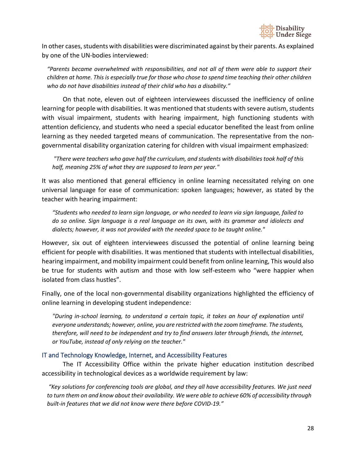

In other cases, students with disabilities were discriminated against by their parents. As explained by one of the UN-bodies interviewed:

*"Parents became overwhelmed with responsibilities, and not all of them were able to support their children at home. This is especially true for those who chose to spend time teaching their other children who do not have disabilities instead of their child who has a disability."*

On that note, eleven out of eighteen interviewees discussed the inefficiency of online learning for people with disabilities. It was mentioned that students with severe autism, students with visual impairment, students with hearing impairment, high functioning students with attention deficiency, and students who need a special educator benefited the least from online learning as they needed targeted means of communication. The representative from the nongovernmental disability organization catering for children with visual impairment emphasized:

*"There were teachers who gave half the curriculum, and students with disabilities took half of this half, meaning 25% of what they are supposed to learn per year."*

It was also mentioned that general efficiency in online learning necessitated relying on one universal language for ease of communication: spoken languages; however, as stated by the teacher with hearing impairment:

*"Students who needed to learn sign language, or who needed to learn via sign language, failed to do so online. Sign language is a real language on its own, with its grammar and idiolects and dialects; however, it was not provided with the needed space to be taught online."*

However, six out of eighteen interviewees discussed the potential of online learning being efficient for people with disabilities. It was mentioned that students with intellectual disabilities, hearing impairment, and mobility impairment could benefit from online learning, This would also be true for students with autism and those with low self-esteem who "were happier when isolated from class hustles".

Finally, one of the local non-governmental disability organizations highlighted the efficiency of online learning in developing student independence:

*"During in-school learning, to understand a certain topic, it takes an hour of explanation until everyone understands; however, online, you are restricted with the zoom timeframe. The students, therefore, will need to be independent and try to find answers later through friends, the internet, or YouTube, instead of only relying on the teacher."* 

#### <span id="page-27-0"></span>IT and Technology Knowledge, Internet, and Accessibility Features

The IT Accessibility Office within the private higher education institution described accessibility in technological devices as a worldwide requirement by law:

*"Key solutions for conferencing tools are global, and they all have accessibility features. We just need to turn them on and know about their availability. We were able to achieve 60% of accessibility through built-in features that we did not know were there before COVID-19."*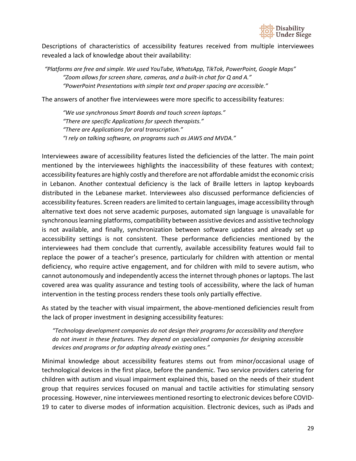

Descriptions of characteristics of accessibility features received from multiple interviewees revealed a lack of knowledge about their availability:

*"Platforms are free and simple. We used YouTube, WhatsApp, TikTok, PowerPoint, Google Maps" "Zoom allows for screen share, cameras, and a built-in chat for Q and A." "PowerPoint Presentations with simple text and proper spacing are accessible."*

The answers of another five interviewees were more specific to accessibility features:

*"We use synchronous Smart Boards and touch screen laptops." "There are specific Applications for speech therapists." "There are Applications for oral transcription." "I rely on talking software, on programs such as JAWS and MVDA."*

Interviewees aware of accessibility features listed the deficiencies of the latter. The main point mentioned by the interviewees highlights the inaccessibility of these features with context; accessibility features are highly costly and therefore are not affordable amidst the economic crisis in Lebanon. Another contextual deficiency is the lack of Braille letters in laptop keyboards distributed in the Lebanese market. Interviewees also discussed performance deficiencies of accessibility features. Screen readers are limited to certain languages, image accessibility through alternative text does not serve academic purposes, automated sign language is unavailable for synchronous learning platforms, compatibility between assistive devices and assistive technology is not available, and finally, synchronization between software updates and already set up accessibility settings is not consistent. These performance deficiencies mentioned by the interviewees had them conclude that currently, available accessibility features would fail to replace the power of a teacher's presence, particularly for children with attention or mental deficiency, who require active engagement, and for children with mild to severe autism, who cannot autonomously and independently access the internet through phones or laptops. The last covered area was quality assurance and testing tools of accessibility, where the lack of human intervention in the testing process renders these tools only partially effective.

As stated by the teacher with visual impairment, the above-mentioned deficiencies result from the lack of proper investment in designing accessibility features:

*"Technology development companies do not design their programs for accessibility and therefore do not invest in these features. They depend on specialized companies for designing accessible devices and programs or for adapting already existing ones."*

Minimal knowledge about accessibility features stems out from minor/occasional usage of technological devices in the first place, before the pandemic. Two service providers catering for children with autism and visual impairment explained this, based on the needs of their student group that requires services focused on manual and tactile activities for stimulating sensory processing. However, nine interviewees mentioned resorting to electronic devices before COVID-19 to cater to diverse modes of information acquisition. Electronic devices, such as iPads and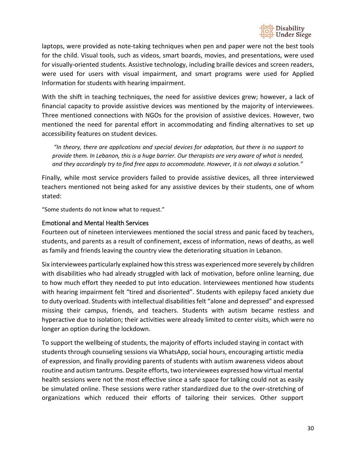

laptops, were provided as note-taking techniques when pen and paper were not the best tools for the child. Visual tools, such as videos, smart boards, movies, and presentations, were used for visually-oriented students. Assistive technology, including braille devices and screen readers, were used for users with visual impairment, and smart programs were used for Applied Information for students with hearing impairment.

With the shift in teaching techniques, the need for assistive devices grew; however, a lack of financial capacity to provide assistive devices was mentioned by the majority of interviewees. Three mentioned connections with NGOs for the provision of assistive devices. However, two mentioned the need for parental effort in accommodating and finding alternatives to set up accessibility features on student devices.

*"In theory, there are applications and special devices for adaptation, but there is no support to provide them. In Lebanon, this is a huge barrier. Our therapists are very aware of what is needed, and they accordingly try to find free apps to accommodate. However, it is not always a solution."*

Finally, while most service providers failed to provide assistive devices, all three interviewed teachers mentioned not being asked for any assistive devices by their students, one of whom stated:

"Some students do not know what to request."

#### <span id="page-29-0"></span>Emotional and Mental Health Services

Fourteen out of nineteen interviewees mentioned the social stress and panic faced by teachers, students, and parents as a result of confinement, excess of information, news of deaths, as well as family and friends leaving the country view the deteriorating situation in Lebanon.

Six interviewees particularly explained how this stress was experienced more severely by children with disabilities who had already struggled with lack of motivation, before online learning, due to how much effort they needed to put into education. Interviewees mentioned how students with hearing impairment felt "tired and disoriented". Students with epilepsy faced anxiety due to duty overload. Students with intellectual disabilities felt "alone and depressed" and expressed missing their campus, friends, and teachers. Students with autism became restless and hyperactive due to isolation; their activities were already limited to center visits, which were no longer an option during the lockdown.

To support the wellbeing of students, the majority of efforts included staying in contact with students through counseling sessions via WhatsApp, social hours, encouraging artistic media of expression, and finally providing parents of students with autism awareness videos about routine and autism tantrums. Despite efforts, two interviewees expressed how virtual mental health sessions were not the most effective since a safe space for talking could not as easily be simulated online. These sessions were rather standardized due to the over-stretching of organizations which reduced their efforts of tailoring their services. Other support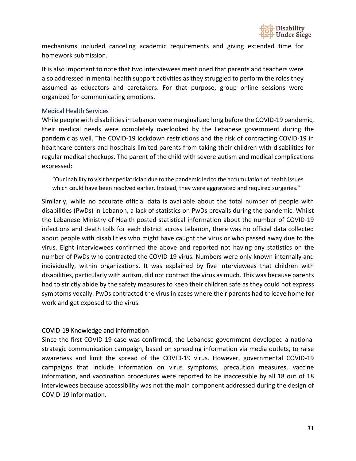

mechanisms included canceling academic requirements and giving extended time for homework submission.

It is also important to note that two interviewees mentioned that parents and teachers were also addressed in mental health support activities as they struggled to perform the roles they assumed as educators and caretakers. For that purpose, group online sessions were organized for communicating emotions.

#### <span id="page-30-0"></span>Medical Health Services

While people with disabilities in Lebanon were marginalized long before the COVID-19 pandemic, their medical needs were completely overlooked by the Lebanese government during the pandemic as well. The COVID-19 lockdown restrictions and the risk of contracting COVID-19 in healthcare centers and hospitals limited parents from taking their children with disabilities for regular medical checkups. The parent of the child with severe autism and medical complications expressed:

"Our inability to visit her pediatrician due to the pandemic led to the accumulation of health issues which could have been resolved earlier. Instead, they were aggravated and required surgeries."

Similarly, while no accurate official data is available about the total number of people with disabilities (PwDs) in Lebanon, a lack of statistics on PwDs prevails during the pandemic. Whilst the Lebanese Ministry of Health posted statistical information about the number of COVID-19 infections and death tolls for each district across Lebanon, there was no official data collected about people with disabilities who might have caught the virus or who passed away due to the virus. Eight interviewees confirmed the above and reported not having any statistics on the number of PwDs who contracted the COVID-19 virus. Numbers were only known internally and individually, within organizations. It was explained by five interviewees that children with disabilities, particularly with autism, did not contract the virus as much. This was because parents had to strictly abide by the safety measures to keep their children safe as they could not express symptoms vocally. PwDs contracted the virus in cases where their parents had to leave home for work and get exposed to the virus.

#### <span id="page-30-1"></span>COVID-19 Knowledge and Information

Since the first COVID-19 case was confirmed, the Lebanese government developed a national strategic communication campaign, based on spreading information via media outlets, to raise awareness and limit the spread of the COVID-19 virus. However, governmental COVID-19 campaigns that include information on virus symptoms, precaution measures, vaccine information, and vaccination procedures were reported to be inaccessible by all 18 out of 18 interviewees because accessibility was not the main component addressed during the design of COVID-19 information.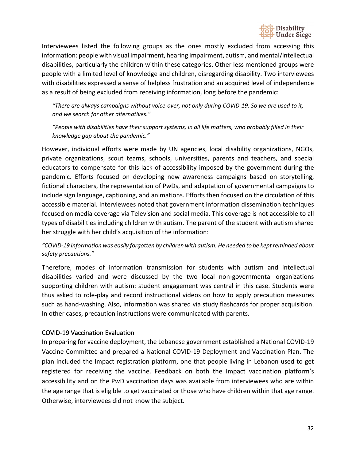

Interviewees listed the following groups as the ones mostly excluded from accessing this information: people with visual impairment, hearing impairment, autism, and mental/intellectual disabilities, particularly the children within these categories. Other less mentioned groups were people with a limited level of knowledge and children, disregarding disability. Two interviewees with disabilities expressed a sense of helpless frustration and an acquired level of independence as a result of being excluded from receiving information, long before the pandemic:

*"There are always campaigns without voice-over, not only during COVID-19. So we are used to it, and we search for other alternatives."*

*"People with disabilities have their support systems, in all life matters, who probably filled in their knowledge gap about the pandemic."*

However, individual efforts were made by UN agencies, local disability organizations, NGOs, private organizations, scout teams, schools, universities, parents and teachers, and special educators to compensate for this lack of accessibility imposed by the government during the pandemic. Efforts focused on developing new awareness campaigns based on storytelling, fictional characters, the representation of PwDs, and adaptation of governmental campaigns to include sign language, captioning, and animations. Efforts then focused on the circulation of this accessible material. Interviewees noted that government information dissemination techniques focused on media coverage via Television and social media. This coverage is not accessible to all types of disabilities including children with autism. The parent of the student with autism shared her struggle with her child's acquisition of the information:

#### *"COVID-19 information was easily forgotten by children with autism. He needed to be kept reminded about safety precautions."*

Therefore, modes of information transmission for students with autism and intellectual disabilities varied and were discussed by the two local non-governmental organizations supporting children with autism: student engagement was central in this case. Students were thus asked to role-play and record instructional videos on how to apply precaution measures such as hand-washing. Also, information was shared via study flashcards for proper acquisition. In other cases, precaution instructions were communicated with parents.

#### <span id="page-31-0"></span>COVID-19 Vaccination Evaluation

In preparing for vaccine deployment, the Lebanese government established a National COVID-19 Vaccine Committee and prepared a National COVID-19 Deployment and Vaccination Plan. The plan included the Impact registration platform, one that people living in Lebanon used to get registered for receiving the vaccine. Feedback on both the Impact vaccination platform's accessibility and on the PwD vaccination days was available from interviewees who are within the age range that is eligible to get vaccinated or those who have children within that age range. Otherwise, interviewees did not know the subject.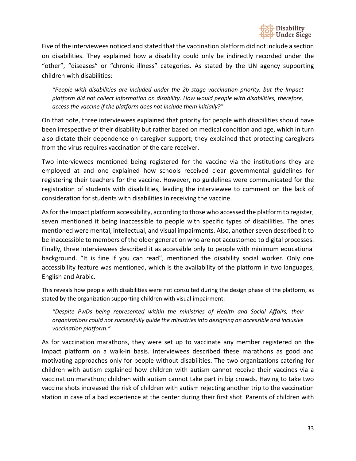

Five of the interviewees noticed and stated that the vaccination platform did not include a section on disabilities. They explained how a disability could only be indirectly recorded under the "other", "diseases" or "chronic illness" categories. As stated by the UN agency supporting children with disabilities:

*"People with disabilities are included under the 2b stage vaccination priority, but the Impact platform did not collect information on disability. How would people with disabilities, therefore, access the vaccine if the platform does not include them initially?"*

On that note, three interviewees explained that priority for people with disabilities should have been irrespective of their disability but rather based on medical condition and age, which in turn also dictate their dependence on caregiver support; they explained that protecting caregivers from the virus requires vaccination of the care receiver.

Two interviewees mentioned being registered for the vaccine via the institutions they are employed at and one explained how schools received clear governmental guidelines for registering their teachers for the vaccine. However, no guidelines were communicated for the registration of students with disabilities, leading the interviewee to comment on the lack of consideration for students with disabilities in receiving the vaccine.

As for the Impact platform accessibility, according to those who accessed the platform to register, seven mentioned it being inaccessible to people with specific types of disabilities. The ones mentioned were mental, intellectual, and visual impairments. Also, another seven described it to be inaccessible to members of the older generation who are not accustomed to digital processes. Finally, three interviewees described it as accessible only to people with minimum educational background. "It is fine if you can read", mentioned the disability social worker. Only one accessibility feature was mentioned, which is the availability of the platform in two languages, English and Arabic.

This reveals how people with disabilities were not consulted during the design phase of the platform, as stated by the organization supporting children with visual impairment:

*"Despite PwDs being represented within the ministries of Health and Social Affairs, their organizations could not successfully guide the ministries into designing an accessible and inclusive vaccination platform."*

As for vaccination marathons, they were set up to vaccinate any member registered on the Impact platform on a walk-in basis. Interviewees described these marathons as good and motivating approaches only for people without disabilities. The two organizations catering for children with autism explained how children with autism cannot receive their vaccines via a vaccination marathon; children with autism cannot take part in big crowds. Having to take two vaccine shots increased the risk of children with autism rejecting another trip to the vaccination station in case of a bad experience at the center during their first shot. Parents of children with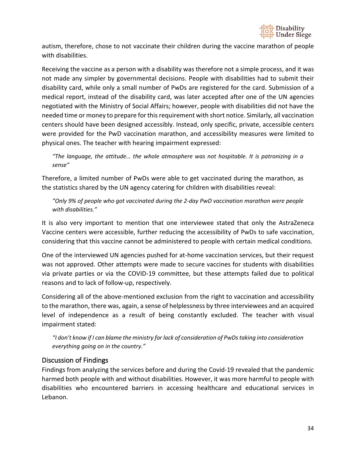

autism, therefore, chose to not vaccinate their children during the vaccine marathon of people with disabilities.

Receiving the vaccine as a person with a disability was therefore not a simple process, and it was not made any simpler by governmental decisions. People with disabilities had to submit their disability card, while only a small number of PwDs are registered for the card. Submission of a medical report, instead of the disability card, was later accepted after one of the UN agencies negotiated with the Ministry of Social Affairs; however, people with disabilities did not have the needed time or money to prepare for this requirement with short notice. Similarly, all vaccination centers should have been designed accessibly. Instead, only specific, private, accessible centers were provided for the PwD vaccination marathon, and accessibility measures were limited to physical ones. The teacher with hearing impairment expressed:

*"The language, the attitude… the whole atmosphere was not hospitable. It is patronizing in a sense"*

Therefore, a limited number of PwDs were able to get vaccinated during the marathon, as the statistics shared by the UN agency catering for children with disabilities reveal:

*"Only 9% of people who got vaccinated during the 2-day PwD vaccination marathon were people with disabilities."*

It is also very important to mention that one interviewee stated that only the AstraZeneca Vaccine centers were accessible, further reducing the accessibility of PwDs to safe vaccination, considering that this vaccine cannot be administered to people with certain medical conditions.

One of the interviewed UN agencies pushed for at-home vaccination services, but their request was not approved. Other attempts were made to secure vaccines for students with disabilities via private parties or via the COVID-19 committee, but these attempts failed due to political reasons and to lack of follow-up, respectively.

Considering all of the above-mentioned exclusion from the right to vaccination and accessibility to the marathon, there was, again, a sense of helplessness by three interviewees and an acquired level of independence as a result of being constantly excluded. The teacher with visual impairment stated:

*"I don't know if I can blame the ministry for lack of consideration of PwDs taking into consideration everything going on in the country."*

#### <span id="page-33-0"></span>Discussion of Findings

Findings from analyzing the services before and during the Covid-19 revealed that the pandemic harmed both people with and without disabilities. However, it was more harmful to people with disabilities who encountered barriers in accessing healthcare and educational services in Lebanon.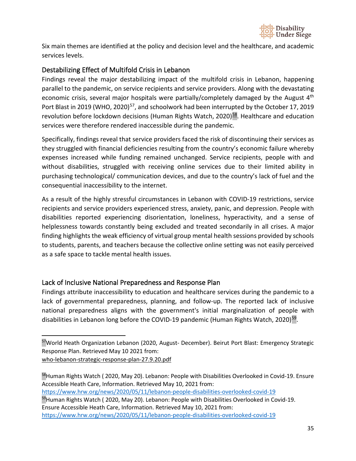

Six main themes are identified at the policy and decision level and the healthcare, and academic services levels.

## <span id="page-34-0"></span>Destabilizing Effect of Multifold Crisis in Lebanon

Findings reveal the major destabilizing impact of the multifold crisis in Lebanon, happening parallel to the pandemic, on service recipients and service providers. Along with the devastating economic crisis, several major hospitals were partially/completely damaged by the August  $4<sup>th</sup>$ Port Blast in 2019 (WHO, 2020)<sup>57</sup>, and schoolwork had been interrupted by the October 17, 2019 revolution before lockdown decisions (Human Rights Watch, 2020) $58$ . Healthcare and education services were therefore rendered inaccessible during the pandemic.

Specifically, findings reveal that service providers faced the risk of discontinuing their services as they struggled with financial deficiencies resulting from the country's economic failure whereby expenses increased while funding remained unchanged. Service recipients, people with and without disabilities, struggled with receiving online services due to their limited ability in purchasing technological/ communication devices, and due to the country's lack of fuel and the consequential inaccessibility to the internet.

As a result of the highly stressful circumstances in Lebanon with COVID-19 restrictions, service recipients and service providers experienced stress, anxiety, panic, and depression. People with disabilities reported experiencing disorientation, loneliness, hyperactivity, and a sense of helplessness towards constantly being excluded and treated secondarily in all crises. A major finding highlights the weak efficiency of virtual group mental health sessions provided by schools to students, parents, and teachers because the collective online setting was not easily perceived as a safe space to tackle mental health issues.

## <span id="page-34-1"></span>Lack of Inclusive National Preparedness and Response Plan

Findings attribute inaccessibility to education and healthcare services during the pandemic to a lack of governmental preparedness, planning, and follow-up. The reported lack of inclusive national preparedness aligns with the government's initial marginalization of people with disabilities in Lebanon long before the COVID-19 pandemic (Human Rights Watch, 2020)<sup>59</sup>.

[who-lebanon-strategic-response-plan-27.9.20.pdf](http://www.emro.who.int/images/stories/lebanon/who-lebanon-strategic-response-plan-27.9.20.pdf?ua=1)

<span id="page-34-2"></span><sup>57</sup>World Heath Organization Lebanon (2020, August- December). Beirut Port Blast: Emergency Strategic Response Plan. Retrieved May 10 2021 from:

<span id="page-34-4"></span><span id="page-34-3"></span><sup>58</sup>Human Rights Watch (2020, May 20). Lebanon: People with Disabilities Overlooked in Covid-19. Ensure Accessible Heath Care, Information. Retrieved May 10, 2021 from: <https://www.hrw.org/news/2020/05/11/lebanon-people-disabilities-overlooked-covid-19> <sup>59</sup>Human Rights Watch (2020, May 20). Lebanon: People with Disabilities Overlooked in Covid-19. Ensure Accessible Heath Care, Information. Retrieved May 10, 2021 from: <https://www.hrw.org/news/2020/05/11/lebanon-people-disabilities-overlooked-covid-19>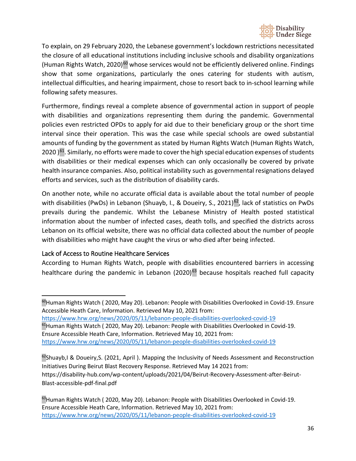

To explain, on 29 February 2020, the Lebanese government's lockdown restrictions necessitated the closure of all educational institutions including inclusive schools and disability organizations (Human Rights Watch, 2020)<sup>60</sup> whose services would not be efficiently delivered online. Findings show that some organizations, particularly the ones catering for students with autism, intellectual difficulties, and hearing impairment, chose to resort back to in-school learning while following safety measures.

Furthermore, findings reveal a complete absence of governmental action in support of people with disabilities and organizations representing them during the pandemic. Governmental policies even restricted OPDs to apply for aid due to their beneficiary group or the short time interval since their operation. This was the case while special schools are owed substantial amounts of funding by the government as stated by Human Rights Watch (Human Rights Watch, 2020 )<sup>61</sup>. Similarly, no efforts were made to cover the high special education expenses of students with disabilities or their medical expenses which can only occasionally be covered by private health insurance companies. Also, political instability such as governmental resignations delayed efforts and services, such as the distribution of disability cards.

On another note, while no accurate official data is available about the total number of people with disabilities (PwDs) in Lebanon (Shuayb, I., & Doueiry, S., 2021)<sup>62</sup>, lack of statistics on PwDs prevails during the pandemic. Whilst the Lebanese Ministry of Health posted statistical information about the number of infected cases, death tolls, and specified the districts across Lebanon on its official website, there was no official data collected about the number of people with disabilities who might have caught the virus or who died after being infected.

#### <span id="page-35-0"></span>Lack of Access to Routine Healthcare Services

According to Human Rights Watch, people with disabilities encountered barriers in accessing healthcare during the pandemic in Lebanon (2020)<sup>63</sup> because hospitals reached full capacity

<span id="page-35-2"></span><https://www.hrw.org/news/2020/05/11/lebanon-people-disabilities-overlooked-covid-19> <sup>61</sup>Human Rights Watch (2020, May 20). Lebanon: People with Disabilities Overlooked in Covid-19.

Ensure Accessible Heath Care, Information. Retrieved May 10, 2021 from:

<span id="page-35-1"></span><sup>60</sup>Human Rights Watch (2020, May 20). Lebanon: People with Disabilities Overlooked in Covid-19. Ensure Accessible Heath Care, Information. Retrieved May 10, 2021 from:

<https://www.hrw.org/news/2020/05/11/lebanon-people-disabilities-overlooked-covid-19>

<span id="page-35-3"></span> $62$ Shuayb,I & Doueiry,S. (2021, April). Mapping the Inclusivity of Needs Assessment and Reconstruction Initiatives During Beirut Blast Recovery Response. Retrieved May 14 2021 from: [https://disability-hub.com/wp-content/uploads/2021/04/Beirut-Recovery-Assessment-after-Beirut-](https://disability-hub.com/wp-content/uploads/2021/04/Beirut-Recovery-Assessment-after-Beirut-Blast-accessible-pdf-final.pdf)[Blast-accessible-pdf-final.pdf](https://disability-hub.com/wp-content/uploads/2021/04/Beirut-Recovery-Assessment-after-Beirut-Blast-accessible-pdf-final.pdf)

<span id="page-35-4"></span><sup>&</sup>lt;sup>63</sup>Human Rights Watch (2020, May 20). Lebanon: People with Disabilities Overlooked in Covid-19. Ensure Accessible Heath Care, Information. Retrieved May 10, 2021 from: <https://www.hrw.org/news/2020/05/11/lebanon-people-disabilities-overlooked-covid-19>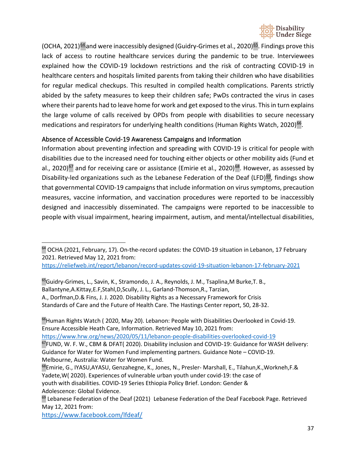

(OCHA, 2021) $64$  and were inaccessibly designed (Guidry-Grimes et al., 2020) $65$ . Findings prove this lack of access to routine healthcare services during the pandemic to be true. Interviewees explained how the COVID-19 lockdown restrictions and the risk of contracting COVID-19 in healthcare centers and hospitals limited parents from taking their children who have disabilities for regular medical checkups. This resulted in compiled health complications. Parents strictly abided by the safety measures to keep their children safe; PwDs contracted the virus in cases where their parents had to leave home for work and get exposed to the virus. This in turn explains the large volume of calls received by OPDs from people with disabilities to secure necessary medications and respirators for underlying health conditions (Human Rights Watch, 2020)<sup>66</sup>.

#### <span id="page-36-0"></span>Absence of Accessible Covid-19 Awareness Campaigns and Information

Information about preventing infection and spreading with COVID-19 is critical for people with disabilities due to the increased need for touching either objects or other mobility aids (Fund et al., 2020)<sup>67</sup> and for receiving care or assistance (Emirie et al., 2020)<sup>[68](#page-36-5)</sup>. However, as assessed by Disability-led organizations such as the Lebanese Federation of the Deaf (LFD) $69$ , findings show that governmental COVID-19 campaigns that include information on virus symptoms, precaution measures, vaccine information, and vaccination procedures were reported to be inaccessibly designed and inaccessibly disseminated. The campaigns were reported to be inaccessible to people with visual impairment, hearing impairment, autism, and mental/intellectual disabilities,

<https://reliefweb.int/report/lebanon/record-updates-covid-19-situation-lebanon-17-february-2021>

<span id="page-36-2"></span><sup>65</sup>Guidry-Grimes, L., Savin, K., Stramondo, J. A., Reynolds, J. M., Tsaplina, M Burke, T. B., Ballantyne,A.Kittay,E.F,Stahl,D,Scully, J. L., Garland-Thomson,R., Tarzian, A., Dorfman,D.& Fins, J. J. 2020. Disability Rights as a Necessary Framework for Crisis Standards of Care and the Future of Health Care. The Hastings Center report, 50, 28-32.

<span id="page-36-3"></span><sup>66</sup>Human Rights Watch (2020, May 20). Lebanon: People with Disabilities Overlooked in Covid-19. Ensure Accessible Heath Care, Information. Retrieved May 10, 2021 from:

<span id="page-36-4"></span><https://www.hrw.org/news/2020/05/11/lebanon-people-disabilities-overlooked-covid-19>  $67$ FUND, W. F. W., CBM & DFAT( 2020). Disability inclusion and COVID-19: Guidance for WASH delivery: Guidance for Water for Women Fund implementing partners. Guidance Note – COVID-19. Melbourne, Australia: Water for Women Fund.

<span id="page-36-5"></span>68Emirie, G., IYASU,AYASU, Genzahegne, K., Jones, N., Presler- Marshall, E., Tilahun,K.,Workneh,F.& Yadete,W( 2020). Experiences of vulnerable urban youth under covid-19: the case of youth with disabilities. COVID-19 Series Ethiopia Policy Brief. London: Gender & Adolescence: Global Evidence.

<https://www.facebook.com/lfdeaf/>

<span id="page-36-1"></span><sup>&</sup>lt;sup>64</sup> OCHA (2021, February, 17). On-the-record updates: the COVID-19 situation in Lebanon, 17 February 2021. Retrieved May 12, 2021 from:

<span id="page-36-6"></span><sup>&</sup>lt;sup>69</sup> Lebanese Federation of the Deaf (2021) Lebanese Federation of the Deaf Facebook Page. Retrieved May 12, 2021 from: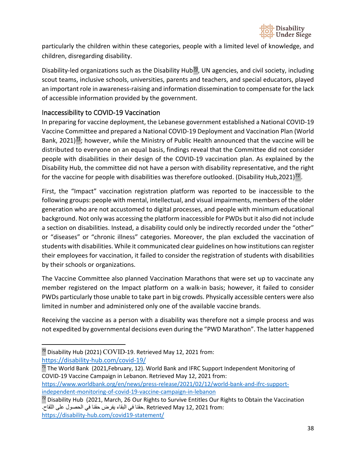

particularly the children within these categories, people with a limited level of knowledge, and children, disregarding disability.

Disability-led organizations such as the Disability Hub<sup>70</sup>, UN agencies, and civil society, including scout teams, inclusive schools, universities, parents and teachers, and special educators, played an important role in awareness-raising and information dissemination to compensate for the lack of accessible information provided by the government.

## <span id="page-37-0"></span>Inaccessibility to COVID-19 Vaccination

In preparing for vaccine deployment, the Lebanese government established a National COVID-19 Vaccine Committee and prepared a National COVID-19 Deployment and Vaccination Plan (World Bank, 2021) $\frac{71}{2}$ ; however, while the Ministry of Public Health announced that the vaccine will be distributed to everyone on an equal basis, findings reveal that the Committee did not consider people with disabilities in their design of the COVID-19 vaccination plan. As explained by the Disability Hub, the committee did not have a person with disability representative, and the right for the vaccine for people with disabilities was therefore outlooked. (Disability Hub, 2021)<sup>72</sup>.

First, the "Impact" vaccination registration platform was reported to be inaccessible to the following groups: people with mental, intellectual, and visual impairments, members of the older generation who are not accustomed to digital processes, and people with minimum educational background. Not only was accessing the platform inaccessible for PWDs but it also did not include a section on disabilities. Instead, a disability could only be indirectly recorded under the "other" or "diseases" or "chronic illness" categories. Moreover, the plan excluded the vaccination of students with disabilities. While it communicated clear guidelines on how institutions can register their employees for vaccination, it failed to consider the registration of students with disabilities by their schools or organizations.

The Vaccine Committee also planned Vaccination Marathons that were set up to vaccinate any member registered on the Impact platform on a walk-in basis; however, it failed to consider PWDs particularly those unable to take part in big crowds. Physically accessible centers were also limited in number and administered only one of the available vaccine brands.

Receiving the vaccine as a person with a disability was therefore not a simple process and was not expedited by governmental decisions even during the "PWD Marathon". The latter happened

[independent-monitoring-of-covid-19-vaccine-campaign-in-lebanon](https://www.worldbank.org/en/news/press-release/2021/02/12/world-bank-and-ifrc-support-independent-monitoring-of-covid-19-vaccine-campaign-in-lebanon)

<span id="page-37-1"></span> $\frac{70}{2}$  Disability Hub (2021) COVID-19. Retrieved May 12, 2021 from: <https://disability-hub.com/covid-19/>

<span id="page-37-2"></span> $71$  The World Bank (2021, February, 12). World Bank and IFRC Support Independent Monitoring of COVID-19 Vaccine Campaign in Lebanon. Retrieved May 12, 2021 from: [https://www.worldbank.org/en/news/press-release/2021/02/12/world-bank-and-ifrc-support-](https://www.worldbank.org/en/news/press-release/2021/02/12/world-bank-and-ifrc-support-independent-monitoring-of-covid-19-vaccine-campaign-in-lebanon)

<span id="page-37-3"></span><sup>&</sup>lt;sup>72</sup> Disability Hub (2021, March, 26 Our Rights to Survive Entitles Our Rights to Obtain the Vaccination :from 2021 12, May Retrieved .حقنا في البقاء یفرض حقنا في الحصول على اللقاح. <https://disability-hub.com/covid19-statement/>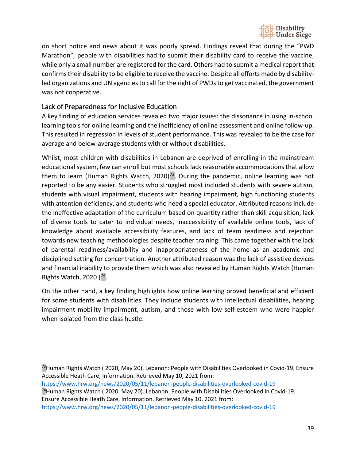

on short notice and news about it was poorly spread. Findings reveal that during the "PWD Marathon", people with disabilities had to submit their disability card to receive the vaccine, while only a small number are registered for the card. Others had to submit a medical report that confirms their disability to be eligible to receive the vaccine. Despite all efforts made by disabilityled organizations and UN agencies to call for the right of PWDs to get vaccinated, the government was not cooperative.

## <span id="page-38-0"></span>Lack of Preparedness for Inclusive Education

A key finding of education services revealed two major issues: the dissonance in using in-school learning tools for online learning and the inefficiency of online assessment and online follow-up. This resulted in regression in levels of student performance. This was revealed to be the case for average and below-average students with or without disabilities.

Whilst, most children with disabilities in Lebanon are deprived of enrolling in the mainstream educational system, few can enroll but most schools lack reasonable accommodations that allow them to learn (Human Rights Watch, 2020)<sup>73</sup>. During the pandemic, online learning was not reported to be any easier. Students who struggled most included students with severe autism, students with visual impairment, students with hearing impairment, high functioning students with attention deficiency, and students who need a special educator. Attributed reasons include the ineffective adaptation of the curriculum based on quantity rather than skill acquisition, lack of diverse tools to cater to individual needs, inaccessibility of available online tools, lack of knowledge about available accessibility features, and lack of team readiness and rejection towards new teaching methodologies despite teacher training. This came together with the lack of parental readiness/availability and inappropriateness of the home as an academic and disciplined setting for concentration. Another attributed reason was the lack of assistive devices and financial inability to provide them which was also revealed by Human Rights Watch (Human Rights Watch, 2020  $)^{74}$ .

On the other hand, a key finding highlights how online learning proved beneficial and efficient for some students with disabilities. They include students with intellectual disabilities, hearing impairment mobility impairment, autism, and those with low self-esteem who were happier when isolated from the class hustle.

<span id="page-38-1"></span><sup>73</sup>Human Rights Watch ( 2020, May 20). Lebanon: People with Disabilities Overlooked in Covid-19. Ensure Accessible Heath Care, Information. Retrieved May 10, 2021 from:

<https://www.hrw.org/news/2020/05/11/lebanon-people-disabilities-overlooked-covid-19>

<span id="page-38-2"></span><sup>74</sup>Human Rights Watch (2020, May 20). Lebanon: People with Disabilities Overlooked in Covid-19. Ensure Accessible Heath Care, Information. Retrieved May 10, 2021 from: <https://www.hrw.org/news/2020/05/11/lebanon-people-disabilities-overlooked-covid-19>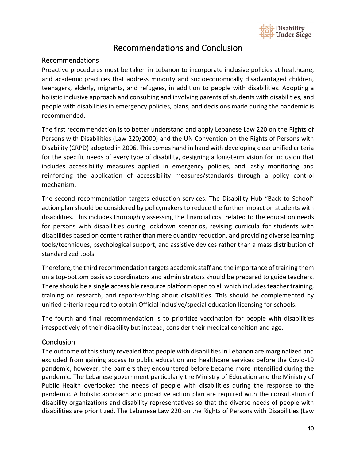

# Recommendations and Conclusion

#### <span id="page-39-1"></span><span id="page-39-0"></span>Recommendations

Proactive procedures must be taken in Lebanon to incorporate inclusive policies at healthcare, and academic practices that address minority and socioeconomically disadvantaged children, teenagers, elderly, migrants, and refugees, in addition to people with disabilities. Adopting a holistic inclusive approach and consulting and involving parents of students with disabilities, and people with disabilities in emergency policies, plans, and decisions made during the pandemic is recommended.

The first recommendation is to better understand and apply Lebanese Law 220 on the Rights of Persons with Disabilities (Law 220/2000) and the UN Convention on the Rights of Persons with Disability (CRPD) adopted in 2006. This comes hand in hand with developing clear unified criteria for the specific needs of every type of disability, designing a long-term vision for inclusion that includes accessibility measures applied in emergency policies, and lastly monitoring and reinforcing the application of accessibility measures/standards through a policy control mechanism.

The second recommendation targets education services. The Disability Hub "Back to School" action plan should be considered by policymakers to reduce the further impact on students with disabilities. This includes thoroughly assessing the financial cost related to the education needs for persons with disabilities during lockdown scenarios, revising curricula for students with disabilities based on content rather than mere quantity reduction, and providing diverse learning tools/techniques, psychological support, and assistive devices rather than a mass distribution of standardized tools.

Therefore, the third recommendation targets academic staff and the importance of training them on a top-bottom basis so coordinators and administrators should be prepared to guide teachers. There should be a single accessible resource platform open to all which includes teacher training, training on research, and report-writing about disabilities. This should be complemented by unified criteria required to obtain Official inclusive/special education licensing for schools.

The fourth and final recommendation is to prioritize vaccination for people with disabilities irrespectively of their disability but instead, consider their medical condition and age.

#### <span id="page-39-2"></span>**Conclusion**

The outcome of this study revealed that people with disabilities in Lebanon are marginalized and excluded from gaining access to public education and healthcare services before the Covid-19 pandemic, however, the barriers they encountered before became more intensified during the pandemic. The Lebanese government particularly the Ministry of Education and the Ministry of Public Health overlooked the needs of people with disabilities during the response to the pandemic. A holistic approach and proactive action plan are required with the consultation of disability organizations and disability representatives so that the diverse needs of people with disabilities are prioritized. The Lebanese Law 220 on the Rights of Persons with Disabilities (Law